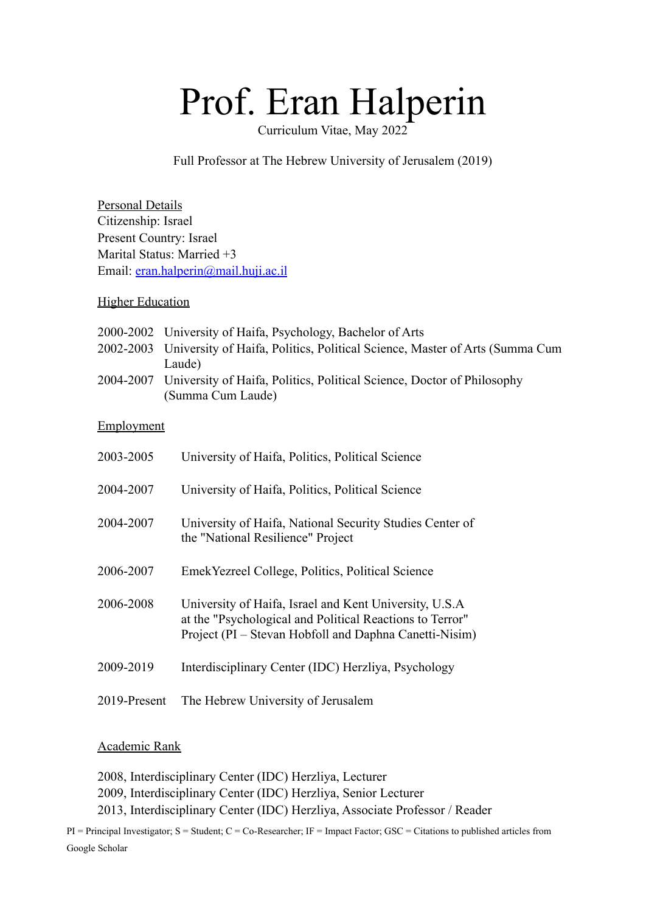# Prof. Eran Halperin

Curriculum Vitae, May 2022

Full Professor at The Hebrew University of Jerusalem (2019)

Personal Details Citizenship: Israel Present Country: Israel Marital Status: Married +3 Email: [eran.halperin@mail.huji.ac.il](mailto:eran.halperin@mail.huji.ac.il)

## **Higher Education**

- 2000-2002 University of Haifa, Psychology, Bachelor of Arts
- 2002-2003 University of Haifa, Politics, Political Science, Master of Arts (Summa Cum Laude)
- 2004-2007 University of Haifa, Politics, Political Science, Doctor of Philosophy (Summa Cum Laude)

## **Employment**

| 2003-2005    | University of Haifa, Politics, Political Science                                                                                                                              |
|--------------|-------------------------------------------------------------------------------------------------------------------------------------------------------------------------------|
| 2004-2007    | University of Haifa, Politics, Political Science                                                                                                                              |
| 2004-2007    | University of Haifa, National Security Studies Center of<br>the "National Resilience" Project                                                                                 |
| 2006-2007    | Emek Yezreel College, Politics, Political Science                                                                                                                             |
| 2006-2008    | University of Haifa, Israel and Kent University, U.S.A.<br>at the "Psychological and Political Reactions to Terror"<br>Project (PI – Stevan Hobfoll and Daphna Canetti-Nisim) |
| 2009-2019    | Interdisciplinary Center (IDC) Herzliya, Psychology                                                                                                                           |
| 2019-Present | The Hebrew University of Jerusalem                                                                                                                                            |

## Academic Rank

2008, Interdisciplinary Center (IDC) Herzliya, Lecturer 2009, Interdisciplinary Center (IDC) Herzliya, Senior Lecturer 2013, Interdisciplinary Center (IDC) Herzliya, Associate Professor / Reader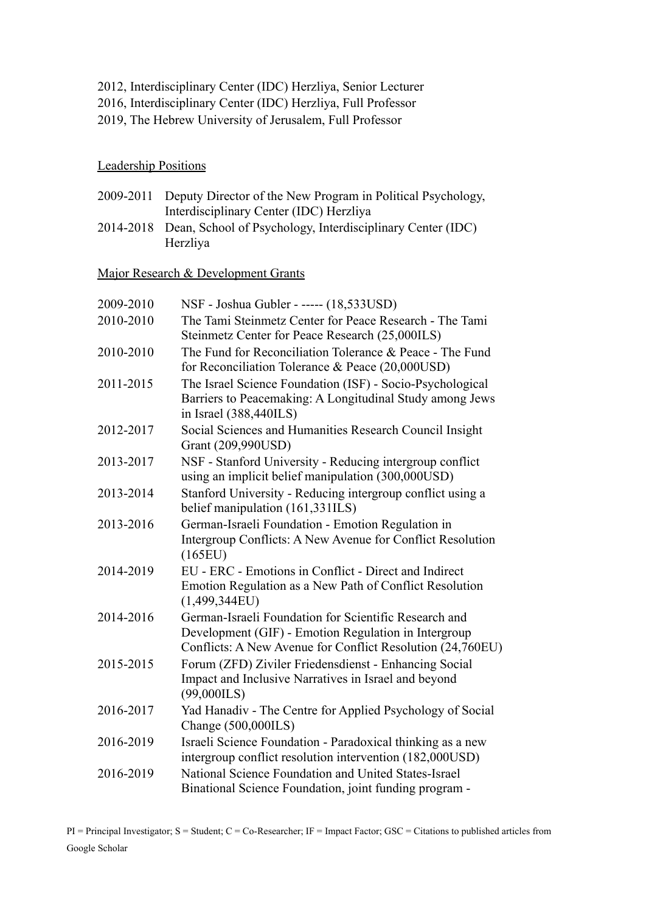- 2012, Interdisciplinary Center (IDC) Herzliya, Senior Lecturer
- 2016, Interdisciplinary Center (IDC) Herzliya, Full Professor
- 2019, The Hebrew University of Jerusalem, Full Professor

### Leadership Positions

- 2009-2011 Deputy Director of the New Program in Political Psychology, Interdisciplinary Center (IDC) Herzliya
- 2014-2018 Dean, School of Psychology, Interdisciplinary Center (IDC) Herzliya

Major Research & Development Grants

| 2009-2010 | NSF - Joshua Gubler - ----- (18,533USD)                                                                                                                                     |
|-----------|-----------------------------------------------------------------------------------------------------------------------------------------------------------------------------|
| 2010-2010 | The Tami Steinmetz Center for Peace Research - The Tami<br>Steinmetz Center for Peace Research (25,000ILS)                                                                  |
| 2010-2010 | The Fund for Reconciliation Tolerance & Peace - The Fund<br>for Reconciliation Tolerance & Peace (20,000USD)                                                                |
| 2011-2015 | The Israel Science Foundation (ISF) - Socio-Psychological<br>Barriers to Peacemaking: A Longitudinal Study among Jews<br>in Israel (388,440ILS)                             |
| 2012-2017 | Social Sciences and Humanities Research Council Insight<br>Grant (209,990USD)                                                                                               |
| 2013-2017 | NSF - Stanford University - Reducing intergroup conflict<br>using an implicit belief manipulation (300,000USD)                                                              |
| 2013-2014 | Stanford University - Reducing intergroup conflict using a<br>belief manipulation (161,331ILS)                                                                              |
| 2013-2016 | German-Israeli Foundation - Emotion Regulation in<br>Intergroup Conflicts: A New Avenue for Conflict Resolution<br>(165EU)                                                  |
| 2014-2019 | EU - ERC - Emotions in Conflict - Direct and Indirect<br>Emotion Regulation as a New Path of Conflict Resolution<br>(1,499,344EU)                                           |
| 2014-2016 | German-Israeli Foundation for Scientific Research and<br>Development (GIF) - Emotion Regulation in Intergroup<br>Conflicts: A New Avenue for Conflict Resolution (24,760EU) |
| 2015-2015 | Forum (ZFD) Ziviler Friedensdienst - Enhancing Social<br>Impact and Inclusive Narratives in Israel and beyond<br>$(99,000$ ILS)                                             |
| 2016-2017 | Yad Hanadiv - The Centre for Applied Psychology of Social<br>Change (500,000ILS)                                                                                            |
| 2016-2019 | Israeli Science Foundation - Paradoxical thinking as a new<br>intergroup conflict resolution intervention (182,000USD)                                                      |
| 2016-2019 | National Science Foundation and United States-Israel<br>Binational Science Foundation, joint funding program -                                                              |
|           |                                                                                                                                                                             |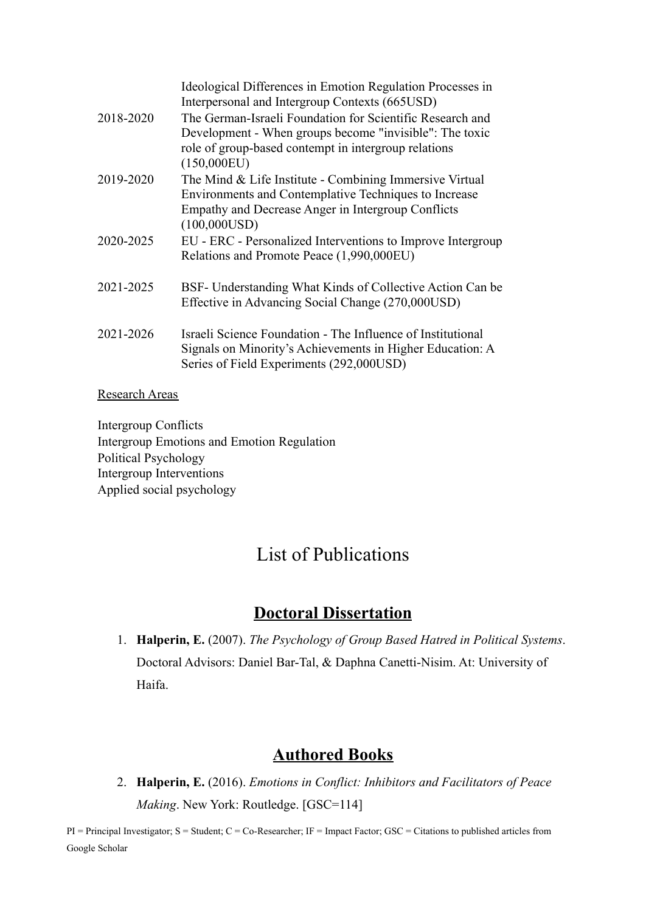|           | Ideological Differences in Emotion Regulation Processes in<br>Interpersonal and Intergroup Contexts (665USD)                                                                           |
|-----------|----------------------------------------------------------------------------------------------------------------------------------------------------------------------------------------|
| 2018-2020 | The German-Israeli Foundation for Scientific Research and<br>Development - When groups become "invisible": The toxic<br>role of group-based contempt in intergroup relations           |
|           | (150,000EU)                                                                                                                                                                            |
| 2019-2020 | The Mind & Life Institute - Combining Immersive Virtual<br>Environments and Contemplative Techniques to Increase<br>Empathy and Decrease Anger in Intergroup Conflicts<br>(100,000USD) |
| 2020-2025 | EU - ERC - Personalized Interventions to Improve Intergroup<br>Relations and Promote Peace (1,990,000EU)                                                                               |
| 2021-2025 | BSF- Understanding What Kinds of Collective Action Can be<br>Effective in Advancing Social Change (270,000USD)                                                                         |
| 2021-2026 | Israeli Science Foundation - The Influence of Institutional<br>Signals on Minority's Achievements in Higher Education: A<br>Series of Field Experiments (292,000USD)                   |

#### Research Areas

Intergroup Conflicts Intergroup Emotions and Emotion Regulation Political Psychology Intergroup Interventions Applied social psychology

# List of Publications

# **Doctoral Dissertation**

1. **Halperin, E.** (2007). *The Psychology of Group Based Hatred in Political Systems*. Doctoral Advisors: Daniel Bar-Tal, & Daphna Canetti-Nisim. At: University of Haifa.

# **Authored Books**

2. **Halperin, E.** (2016). *Emotions in Conflict: Inhibitors and Facilitators of Peace Making*. New York: Routledge. [GSC=114]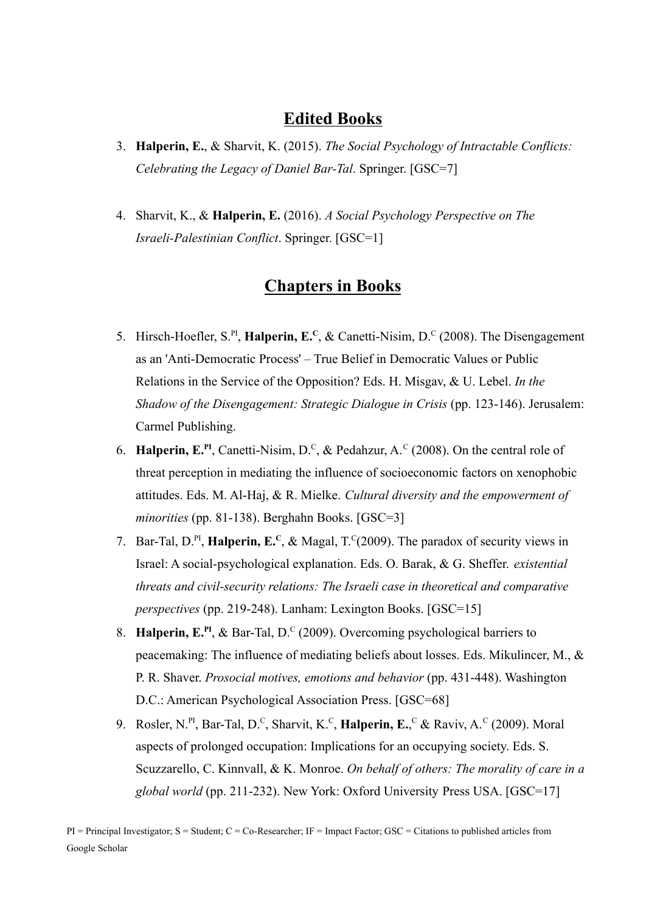## **Edited Books**

- 3. **Halperin, E.**, & Sharvit, K. (2015). *The Social Psychology of Intractable Conflicts: Celebrating the Legacy of Daniel Bar-Tal*. Springer. [GSC=7]
- 4. Sharvit, K., & **Halperin, E.** (2016). *A Social Psychology Perspective on The Israeli-Palestinian Conflict*. Springer. [GSC=1]

# **Chapters in Books**

- 5. Hirsch-Hoefler, S.<sup>PI</sup>, **Halperin, E.**<sup>C</sup>, & Canetti-Nisim, D.<sup>C</sup> (2008). The Disengagement as an 'Anti-Democratic Process' – True Belief in Democratic Values or Public Relations in the Service of the Opposition? Eds. H. Misgav, & U. Lebel. *In the Shadow of the Disengagement: Strategic Dialogue in Crisis* (pp. 123-146). Jerusalem: Carmel Publishing.
- 6. **Halperin, E.<sup>PI</sup>**, Canetti-Nisim, D.<sup>C</sup>, & Pedahzur, A.<sup>C</sup> (2008). On the central role of threat perception in mediating the influence of socioeconomic factors on xenophobic attitudes. Eds. M. Al-Haj, & R. Mielke. *Cultural diversity and the empowerment of minorities* (pp. 81-138). Berghahn Books. [GSC=3]
- 7. Bar-Tal,  $D^{PI}$ , **Halperin, E.**<sup>C</sup>, & Magal,  $T^{C}(2009)$ . The paradox of security views in Israel: A social-psychological explanation. Eds. O. Barak, & G. Sheffer. *existential threats and civil-security relations: The Israeli case in theoretical and comparative perspectives* (pp. 219-248). Lanham: Lexington Books. [GSC=15]
- 8. **Halperin, E.PI** , & Bar-Tal, D.<sup>C</sup> (2009). Overcoming psychological barriers to peacemaking: The influence of mediating beliefs about losses. Eds. Mikulincer, M., & P. R. Shaver. *Prosocial motives, emotions and behavior* (pp. 431-448). Washington D.C.: American Psychological Association Press. [GSC=68]
- 9. Rosler, N.<sup>PI</sup>, Bar-Tal, D.<sup>C</sup>, Sharvit, K.<sup>C</sup>, **Halperin, E.**,<sup>C</sup> & Raviv, A.<sup>C</sup> (2009). Moral aspects of prolonged occupation: Implications for an occupying society. Eds. S. Scuzzarello, C. Kinnvall, & K. Monroe. *On behalf of others: The morality of care in a global world* (pp. 211-232). New York: Oxford University Press USA. [GSC=17]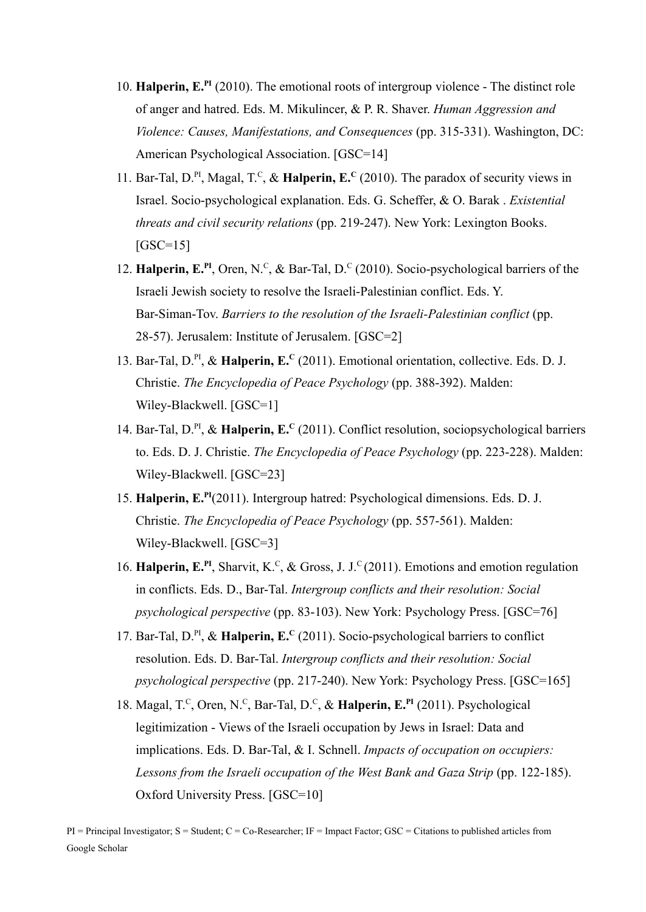- 10. **Halperin, E.PI** (2010). The emotional roots of intergroup violence The distinct role of anger and hatred. Eds. M. Mikulincer, & P. R. Shaver. *Human Aggression and Violence: Causes, Manifestations, and Consequences* (pp. 315-331). Washington, DC: American Psychological Association. [GSC=14]
- 11. Bar-Tal, D.<sup>PI</sup>, Magal, T.<sup>C</sup>, & **Halperin, E.**<sup>C</sup> (2010). The paradox of security views in Israel. Socio-psychological explanation. Eds. G. Scheffer, & O. Barak . *Existential threats and civil security relations* (pp. 219-247). New York: Lexington Books.  $[GSC=15]$
- 12. **Halperin, E.<sup>PI</sup>**, Oren, N.<sup>C</sup>, & Bar-Tal, D.<sup>C</sup> (2010). Socio-psychological barriers of the Israeli Jewish society to resolve the Israeli-Palestinian conflict. Eds. Y. Bar-Siman-Tov. *Barriers to the resolution of the Israeli-Palestinian conflict* (pp. 28-57). Jerusalem: Institute of Jerusalem. [GSC=2]
- 13. Bar-Tal, D.<sup>PI</sup>, & Halperin, E.<sup>C</sup> (2011). Emotional orientation, collective. Eds. D. J. Christie. *The Encyclopedia of Peace Psychology* (pp. 388-392). Malden: Wiley-Blackwell. [GSC=1]
- 14. Bar-Tal, D.PI , & **Halperin, E.<sup>C</sup>** (2011). Conflict resolution, sociopsychological barriers to. Eds. D. J. Christie. *The Encyclopedia of Peace Psychology* (pp. 223-228). Malden: Wiley-Blackwell. [GSC=23]
- 15. **Halperin, E.PI** (2011). Intergroup hatred: Psychological dimensions. Eds. D. J. Christie. *The Encyclopedia of Peace Psychology* (pp. 557-561). Malden: Wiley-Blackwell. [GSC=3]
- 16. Halperin, E.<sup>PI</sup>, Sharvit, K.<sup>C</sup>, & Gross, J. J.<sup>C</sup> (2011). Emotions and emotion regulation in conflicts. Eds. D., Bar-Tal. *Intergroup conflicts and their resolution: Social psychological perspective* (pp. 83-103). New York: Psychology Press. [GSC=76]
- 17. Bar-Tal, D.<sup>PI</sup>, & Halperin, E.<sup>C</sup> (2011). Socio-psychological barriers to conflict resolution. Eds. D. Bar-Tal. *Intergroup conflicts and their resolution: Social psychological perspective* (pp. 217-240). New York: Psychology Press. [GSC=165]
- 18. Magal, T.<sup>C</sup>, Oren, N.<sup>C</sup>, Bar-Tal, D.<sup>C</sup>, & Halperin, E.<sup>PI</sup> (2011). Psychological legitimization - Views of the Israeli occupation by Jews in Israel: Data and implications. Eds. D. Bar-Tal, & I. Schnell. *Impacts of occupation on occupiers: Lessons from the Israeli occupation of the West Bank and Gaza Strip* (pp. 122-185). Oxford University Press. [GSC=10]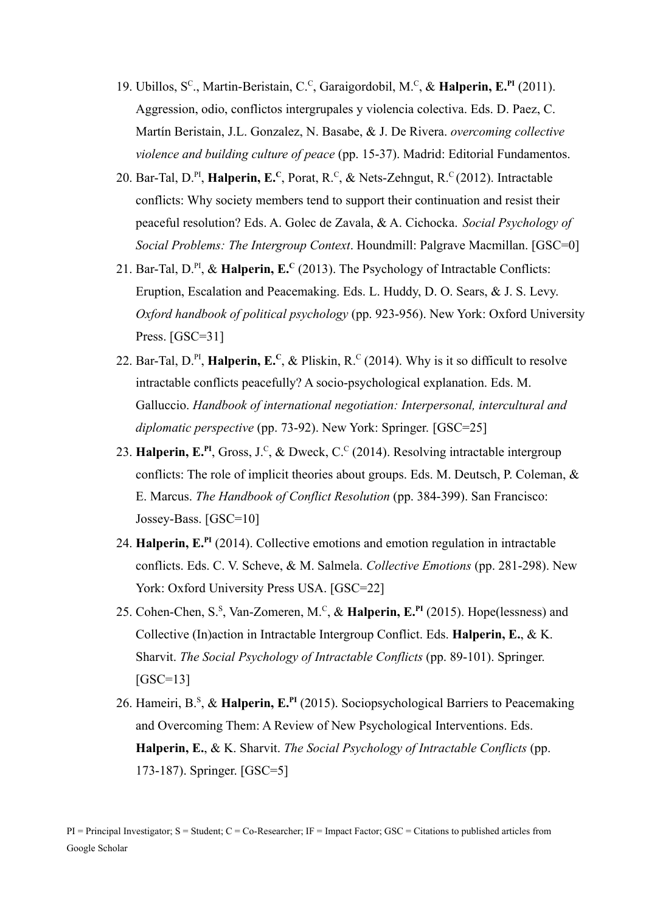- 19. Ubillos, S<sup>c</sup>., Martin-Beristain, C.<sup>c</sup>, Garaigordobil, M.<sup>c</sup>, & Halperin, E.<sup>PI</sup> (2011). Aggression, odio, conflictos intergrupales y violencia colectiva. Eds. D. Paez, C. Martín Beristain, J.L. Gonzalez, N. Basabe, & J. De Rivera. *overcoming collective violence and building culture of peace* (pp. 15-37). Madrid: Editorial Fundamentos.
- 20. Bar-Tal, D.<sup>PI</sup>, **Halperin, E.**<sup>C</sup>, Porat, R.<sup>C</sup>, & Nets-Zehngut, R.<sup>C</sup>(2012). Intractable conflicts: Why society members tend to support their continuation and resist their peaceful resolution? Eds. A. Golec de Zavala, & A. Cichocka. *Social Psychology of Social Problems: The Intergroup Context*. Houndmill: Palgrave Macmillan. [GSC=0]
- 21. Bar-Tal,  $D^{PI}$ ,  $\&$  **Halperin, E.**<sup>C</sup> (2013). The Psychology of Intractable Conflicts: Eruption, Escalation and Peacemaking. Eds. L. Huddy, D. O. Sears, & J. S. Levy. *Oxford handbook of political psychology* (pp. 923-956). New York: Oxford University Press. [GSC=31]
- 22. Bar-Tal,  $D^{PI}$ , **Halperin, E.**<sup>C</sup>, & Pliskin, R.<sup>C</sup> (2014). Why is it so difficult to resolve intractable conflicts peacefully? A socio-psychological explanation. Eds. M. Galluccio. *Handbook of international negotiation: Interpersonal, intercultural and diplomatic perspective* (pp. 73-92). New York: Springer. [GSC=25]
- 23. Halperin, E.<sup>PI</sup>, Gross, J.<sup>C</sup>, & Dweck, C.<sup>C</sup> (2014). Resolving intractable intergroup conflicts: The role of implicit theories about groups. Eds. M. Deutsch, P. Coleman, & E. Marcus. *The Handbook of Conflict Resolution* (pp. 384-399). San Francisco: Jossey-Bass. [GSC=10]
- 24. **Halperin, E.PI** (2014). Collective emotions and emotion regulation in intractable conflicts. Eds. C. V. Scheve, & M. Salmela. *Collective Emotions* (pp. 281-298). New York: Oxford University Press USA. [GSC=22]
- 25. Cohen-Chen, S.<sup>S</sup>, Van-Zomeren, M.<sup>C</sup>, & **Halperin, E.<sup>PI</sup>** (2015). Hope(lessness) and Collective (In)action in Intractable Intergroup Conflict. Eds. **Halperin, E.**, & K. Sharvit. *The Social Psychology of Intractable Conflicts* (pp. 89-101). Springer.  $[GSC=13]$
- 26. Hameiri, B.<sup>s</sup>, & Halperin, E.<sup>PI</sup> (2015). Sociopsychological Barriers to Peacemaking and Overcoming Them: A Review of New Psychological Interventions. Eds. **Halperin, E.**, & K. Sharvit. *The Social Psychology of Intractable Conflicts* (pp. 173-187). Springer. [GSC=5]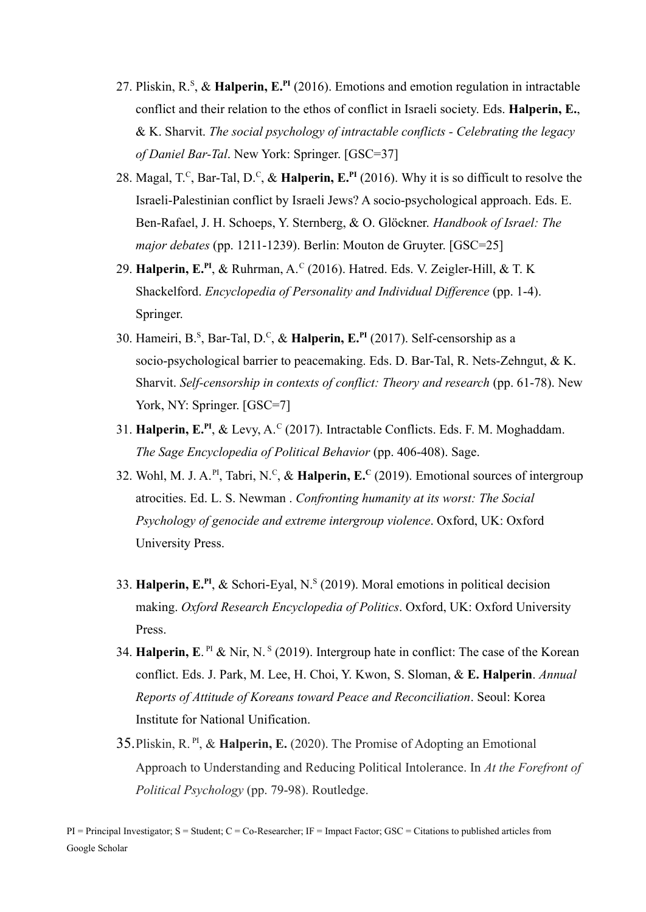- 27. Pliskin, R.<sup>S</sup> , & **Halperin, E.PI** (2016). Emotions and emotion regulation in intractable conflict and their relation to the ethos of conflict in Israeli society. Eds. **Halperin, E.**, & K. Sharvit. *The social psychology of intractable conflicts - Celebrating the legacy of Daniel Bar-Tal*. New York: Springer. [GSC=37]
- 28. Magal, T.<sup>C</sup>, Bar-Tal, D.<sup>C</sup>, & Halperin, E.<sup>PI</sup> (2016). Why it is so difficult to resolve the Israeli-Palestinian conflict by Israeli Jews? A socio-psychological approach. Eds. E. Ben-Rafael, J. H. Schoeps, Y. Sternberg, & O. Glöckner. *Handbook of Israel: The major debates* (pp. 1211-1239). Berlin: Mouton de Gruyter. [GSC=25]
- 29. **Halperin, E.<sup>PI</sup>, & Ruhrman, A.<sup>C</sup> (2016). Hatred. Eds. V. Zeigler-Hill, & T. K** Shackelford. *Encyclopedia of Personality and Individual Difference* (pp. 1-4). Springer.
- 30. Hameiri, B.<sup>S</sup> , Bar-Tal, D.<sup>C</sup> , & **Halperin, E.PI** (2017). Self-censorship as a socio-psychological barrier to peacemaking. Eds. D. Bar-Tal, R. Nets-Zehngut, & K. Sharvit. *Self-censorship in contexts of conflict: Theory and research* (pp. 61-78). New York, NY: Springer. [GSC=7]
- 31. Halperin, E.<sup>PI</sup>, & Levy, A.<sup>C</sup> (2017). Intractable Conflicts. Eds. F. M. Moghaddam. *The Sage Encyclopedia of Political Behavior* (pp. 406-408). Sage.
- 32. Wohl, M. J. A.<sup>PI</sup>, Tabri, N.<sup>C</sup>, & **Halperin, E.<sup>C</sup>** (2019). Emotional sources of intergroup atrocities. Ed. L. S. Newman . *Confronting humanity at its worst: The Social Psychology of genocide and extreme intergroup violence*. Oxford, UK: Oxford University Press.
- 33. **Halperin, E.PI** , & Schori-Eyal, N.<sup>S</sup> (2019). Moral emotions in political decision making. *Oxford Research Encyclopedia of Politics*. Oxford, UK: Oxford University Press.
- 34. **Halperin, E**. PI & Nir, N. <sup>S</sup> (2019). Intergroup hate in conflict: The case of the Korean conflict. Eds. J. Park, M. Lee, H. Choi, Y. Kwon, S. Sloman, & **E. Halperin**. *Annual Reports of Attitude of Koreans toward Peace and Reconciliation*. Seoul: Korea Institute for National Unification.
- 35.Pliskin, R. PI , & **Halperin, E.** (2020). The Promise of Adopting an Emotional Approach to Understanding and Reducing Political Intolerance. In *At the Forefront of Political Psychology* (pp. 79-98). Routledge.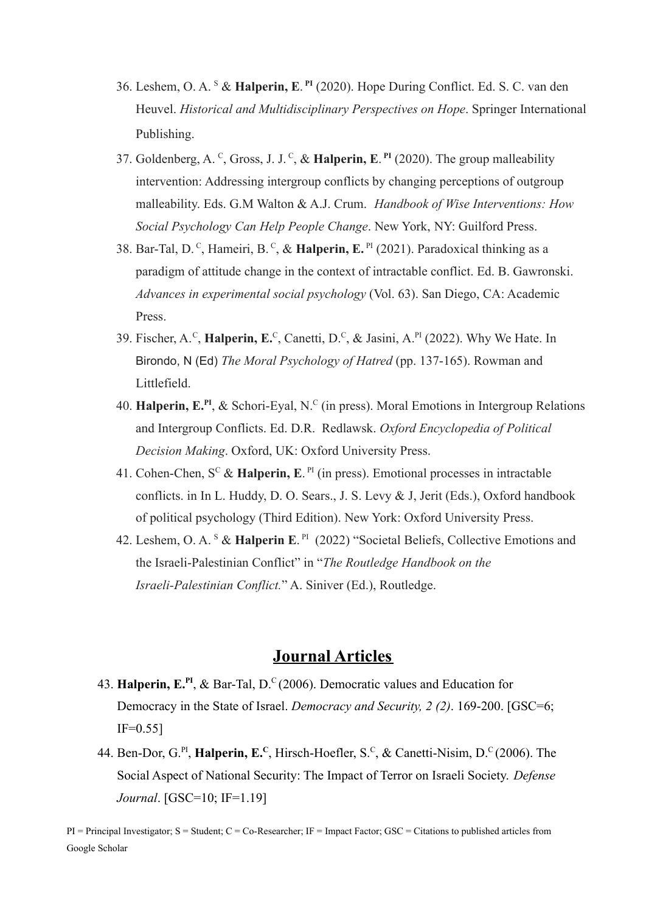- 36. Leshem, O. A. <sup>S</sup> & **Halperin, E**. **PI** (2020). Hope During Conflict. Ed. S. C. van den Heuvel. *Historical and Multidisciplinary Perspectives on Hope*. Springer International Publishing.
- 37. Goldenberg, A. <sup>C</sup>, Gross, J. J. <sup>C</sup>, & **Halperin, E.** <sup>PI</sup> (2020). The group malleability intervention: Addressing intergroup conflicts by changing perceptions of outgroup malleability. Eds. G.M Walton & A.J. Crum. *Handbook [of Wise Interventions: How](https://www.amazon.com/Handbook-Wise-Interventions-Social-Psychology/dp/1462543839) [Social Psychology Can Help People Change](https://www.amazon.com/Handbook-Wise-Interventions-Social-Psychology/dp/1462543839)*. New York, NY: Guilford Press.
- 38. Bar-Tal, D.<sup>C</sup>, Hameiri, B.<sup>C</sup>, & **Halperin, E.**<sup>PI</sup> (2021). Paradoxical thinking as a paradigm of attitude change in the context of intractable conflict. Ed. B. Gawronski. *Advances in experimental social psychology* (Vol. 63). San Diego, CA: Academic Press.
- 39. Fischer, A.<sup>c</sup>, **Halperin, E.**<sup>c</sup>, Canetti, D.<sup>c</sup>, & Jasini, A.<sup>PI</sup> (2022). Why We Hate. In Birondo, N (Ed) *The Moral Psychology of Hatred* (pp. 137-165). Rowman and Littlefield.
- 40. Halperin, E.<sup>PI</sup>, & Schori-Eyal, N.<sup>C</sup> (in press). Moral Emotions in Intergroup Relations and Intergroup Conflicts. Ed. D.R. Redlawsk. *Oxford Encyclopedia of Political Decision Making*. Oxford, UK: Oxford University Press.
- 41. Cohen-Chen,  $S^C$  & **Halperin, E**.<sup>PI</sup> (in press). Emotional processes in intractable conflicts. in In L. Huddy, D. O. Sears., J. S. Levy & J, Jerit (Eds.), Oxford handbook of political psychology (Third Edition). New York: Oxford University Press.
- 42. Leshem, O. A. <sup>S</sup> & **Halperin E**. PI (2022) "Societal Beliefs, Collective Emotions and the Israeli-Palestinian Conflict" in "*The Routledge Handbook on the Israeli-Palestinian Conflict.*" A. Siniver (Ed.), Routledge.

## **Journal Articles**

- 43. **Halperin, E.PI** , & Bar-Tal, D.<sup>C</sup> (2006). Democratic values and Education for Democracy in the State of Israel. *Democracy and Security, 2 (2)*. 169-200. [GSC=6;  $IF=0.55$ ]
- 44. Ben-Dor, G.<sup>PI</sup>, **Halperin, E.**<sup>C</sup>, Hirsch-Hoefler, S.<sup>C</sup>, & Canetti-Nisim, D.<sup>C</sup> (2006). The Social Aspect of National Security: The Impact of Terror on Israeli Society. *Defense Journal*. [GSC=10; IF=1.19]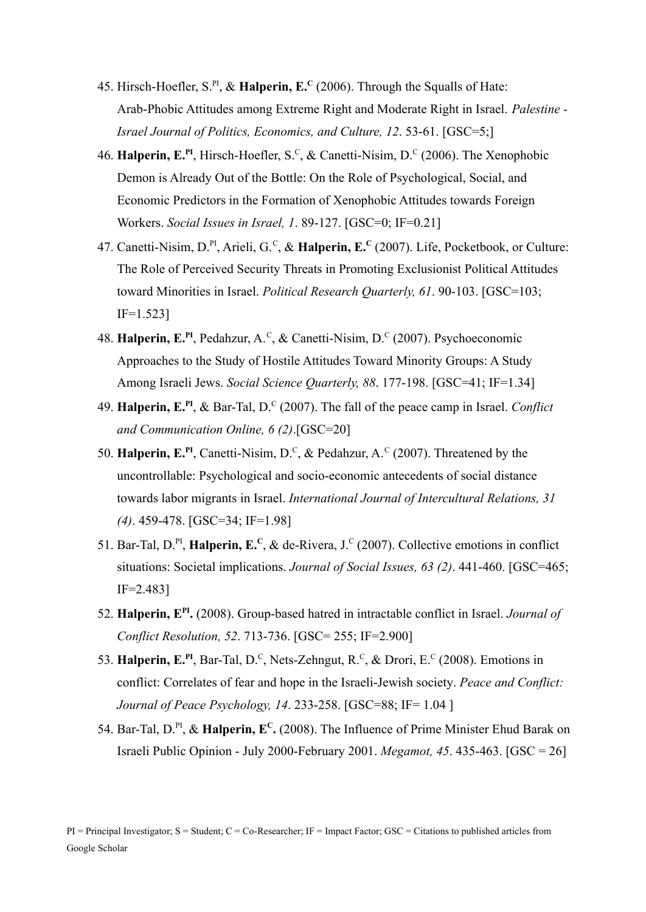- 45. Hirsch-Hoefler, S.PI , & **Halperin, E.<sup>C</sup>** (2006). Through the Squalls of Hate: Arab-Phobic Attitudes among Extreme Right and Moderate Right in Israel. *Palestine - Israel Journal of Politics, Economics, and Culture, 12*. 53-61. [GSC=5;]
- 46. **Halperin, E.<sup>PI</sup>**, Hirsch-Hoefler, S.<sup>C</sup>, & Canetti-Nisim, D.<sup>C</sup> (2006). The Xenophobic Demon is Already Out of the Bottle: On the Role of Psychological, Social, and Economic Predictors in the Formation of Xenophobic Attitudes towards Foreign Workers. *Social Issues in Israel, 1*. 89-127. [GSC=0; IF=0.21]
- 47. Canetti-Nisim, D.PI , Arieli, G.<sup>C</sup> , & **Halperin, E.<sup>C</sup>** (2007). Life, Pocketbook, or Culture: The Role of Perceived Security Threats in Promoting Exclusionist Political Attitudes toward Minorities in Israel. *Political Research Quarterly, 61*. 90-103. [GSC=103; IF=1.523]
- 48. Halperin, E.<sup>PI</sup>, Pedahzur, A.<sup>C</sup>, & Canetti-Nisim, D.<sup>C</sup> (2007). Psychoeconomic Approaches to the Study of Hostile Attitudes Toward Minority Groups: A Study Among Israeli Jews. *Social Science Quarterly, 88*. 177-198. [GSC=41; IF=1.34]
- 49. **Halperin, E.PI** , & Bar-Tal, D.<sup>C</sup> (2007). The fall of the peace camp in Israel. *Conflict and Communication Online, 6 (2)*.[GSC=20]
- 50. **Halperin, E.<sup>PI</sup>**, Canetti-Nisim, D.<sup>C</sup>, & Pedahzur, A.<sup>C</sup> (2007). Threatened by the uncontrollable: Psychological and socio-economic antecedents of social distance towards labor migrants in Israel. *International Journal of Intercultural Relations, 31 (4)*. 459-478. [GSC=34; IF=1.98]
- 51. Bar-Tal, D.<sup>PI</sup>, **Halperin, E.**<sup>C</sup>, & de-Rivera, J.<sup>C</sup> (2007). Collective emotions in conflict situations: Societal implications. *Journal of Social Issues, 63 (2)*. 441-460. [GSC=465; IF=2.483]
- 52. **Halperin, E PI .** (2008). Group-based hatred in intractable conflict in Israel. *Journal of Conflict Resolution, 52*. 713-736. [GSC= 255; IF=2.900]
- 53. Halperin, E.<sup>PI</sup>, Bar-Tal, D.<sup>C</sup>, Nets-Zehngut, R.<sup>C</sup>, & Drori, E.<sup>C</sup> (2008). Emotions in conflict: Correlates of fear and hope in the Israeli-Jewish society. *Peace and Conflict: Journal of Peace Psychology, 14*. 233-258. [GSC=88; IF= 1.04 ]
- 54. Bar-Tal, D.<sup>PI</sup>, & Halperin, E<sup>C</sup>. (2008). The Influence of Prime Minister Ehud Barak on Israeli Public Opinion - July 2000-February 2001. *Megamot, 45*. 435-463. [GSC = 26]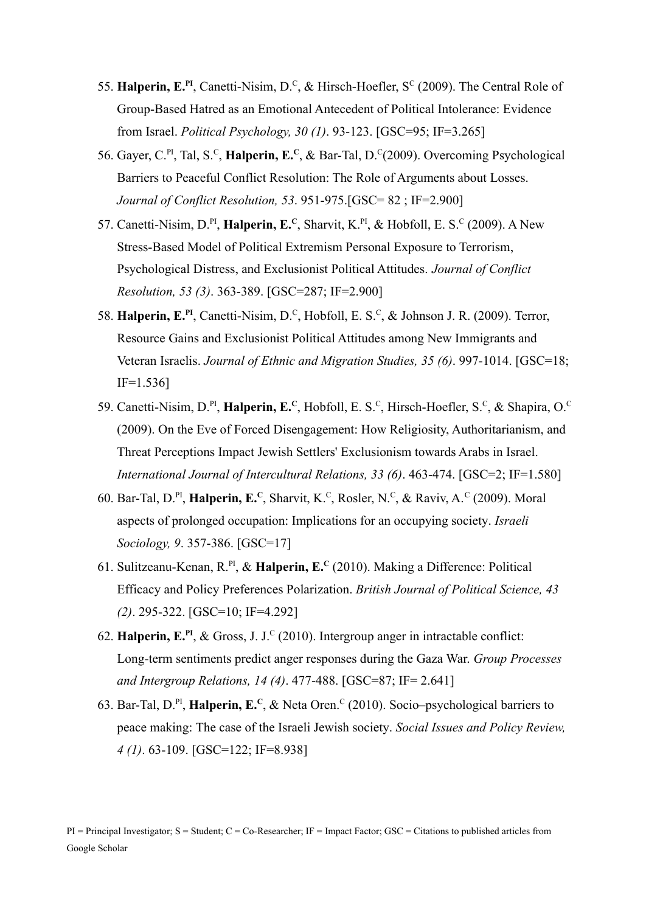- 55. Halperin, E.<sup>PI</sup>, Canetti-Nisim, D.<sup>C</sup>, & Hirsch-Hoefler, S<sup>C</sup> (2009). The Central Role of Group-Based Hatred as an Emotional Antecedent of Political Intolerance: Evidence from Israel. *Political Psychology, 30 (1)*. 93-123. [GSC=95; IF=3.265]
- 56. Gayer, C.<sup>PI</sup>, Tal, S.<sup>C</sup>, **Halperin, E.<sup>C</sup>**, & Bar-Tal, D.<sup>C</sup>(2009). Overcoming Psychological Barriers to Peaceful Conflict Resolution: The Role of Arguments about Losses. *Journal of Conflict Resolution, 53*. 951-975.[GSC= 82 ; IF=2.900]
- 57. Canetti-Nisim, D.<sup>PI</sup>, **Halperin, E.**<sup>C</sup>, Sharvit, K.<sup>PI</sup>, & Hobfoll, E. S.<sup>C</sup> (2009). A New Stress-Based Model of Political Extremism Personal Exposure to Terrorism, Psychological Distress, and Exclusionist Political Attitudes. *Journal of Conflict Resolution, 53 (3)*. 363-389. [GSC=287; IF=2.900]
- 58. Halperin, E.<sup>PI</sup>, Canetti-Nisim, D.<sup>C</sup>, Hobfoll, E. S.<sup>C</sup>, & Johnson J. R. (2009). Terror, Resource Gains and Exclusionist Political Attitudes among New Immigrants and Veteran Israelis. *Journal of Ethnic and Migration Studies, 35 (6)*. 997-1014. [GSC=18; IF=1.536]
- 59. Canetti-Nisim, D.<sup>PI</sup>, **Halperin, E.**<sup>C</sup>, Hobfoll, E. S.<sup>C</sup>, Hirsch-Hoefler, S.<sup>C</sup>, & Shapira, O.<sup>C</sup> (2009). On the Eve of Forced Disengagement: How Religiosity, Authoritarianism, and Threat Perceptions Impact Jewish Settlers' Exclusionism towards Arabs in Israel. *International Journal of Intercultural Relations, 33 (6)*. 463-474. [GSC=2; IF=1.580]
- 60. Bar-Tal, D.<sup>PI</sup>, **Halperin, E.**<sup>C</sup>, Sharvit, K.<sup>C</sup>, Rosler, N.<sup>C</sup>, & Raviv, A.<sup>C</sup> (2009). Moral aspects of prolonged occupation: Implications for an occupying society. *Israeli Sociology, 9*. 357-386. [GSC=17]
- 61. Sulitzeanu-Kenan, R.PI , & **Halperin, E.<sup>C</sup>** (2010). Making a Difference: Political Efficacy and Policy Preferences Polarization. *British Journal of Political Science, 43 (2)*. 295-322. [GSC=10; IF=4.292]
- 62. **Halperin, E.PI** , & Gross, J. J.<sup>C</sup> (2010). Intergroup anger in intractable conflict: Long-term sentiments predict anger responses during the Gaza War. *Group Processes and Intergroup Relations, 14 (4)*. 477-488. [GSC=87; IF= 2.641]
- 63. Bar-Tal, D.PI , **Halperin, E.<sup>C</sup>** , & Neta Oren.<sup>C</sup> (2010). Socio–psychological barriers to peace making: The case of the Israeli Jewish society. *Social Issues and Policy Review, 4 (1)*. 63-109. [GSC=122; IF=8.938]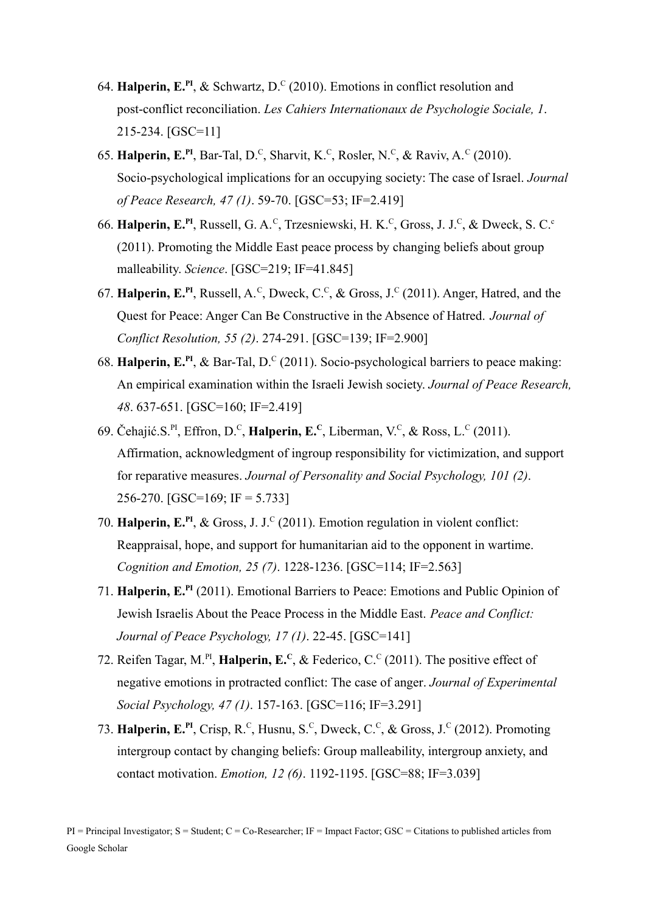- 64. **Halperin, E.<sup>PI</sup>**, & Schwartz, D.<sup>C</sup> (2010). Emotions in conflict resolution and post-conflict reconciliation. *Les Cahiers Internationaux de Psychologie Sociale, 1*. 215-234. [GSC=11]
- 65. **Halperin, E.<sup>PI</sup>**, Bar-Tal, D.<sup>C</sup>, Sharvit, K.<sup>C</sup>, Rosler, N.<sup>C</sup>, & Raviv, A.<sup>C</sup> (2010). Socio-psychological implications for an occupying society: The case of Israel. *Journal of Peace Research, 47 (1)*. 59-70. [GSC=53; IF=2.419]
- 66. **Halperin, E.<sup>PI</sup>, Russell, G. A.<sup>c</sup>, Trzesniewski, H. K.<sup>c</sup>, Gross, J. J.<sup>c</sup>, & Dweck, S. C.<sup>c</sup>** (2011). Promoting the Middle East peace process by changing beliefs about group malleability. *Science*. [GSC=219; IF=41.845]
- 67. **Halperin, E.<sup>PI</sup>**, Russell, A.<sup>C</sup>, Dweck, C.<sup>C</sup>, & Gross, J.<sup>C</sup> (2011). Anger, Hatred, and the Quest for Peace: Anger Can Be Constructive in the Absence of Hatred. *Journal of Conflict Resolution, 55 (2)*. 274-291. [GSC=139; IF=2.900]
- 68. **Halperin, E.PI** , & Bar-Tal, D.<sup>C</sup> (2011). Socio-psychological barriers to peace making: An empirical examination within the Israeli Jewish society. *Journal of Peace Research, 48*. 637-651. [GSC=160; IF=2.419]
- 69. Čehajić.S.<sup>PI</sup>, Effron, D.<sup>C</sup>, **Halperin, E.<sup>C</sup>**, Liberman, V.<sup>C</sup>, & Ross, L.<sup>C</sup> (2011). Affirmation, acknowledgment of ingroup responsibility for victimization, and support for reparative measures. *Journal of Personality and Social Psychology, 101 (2)*. 256-270. [GSC=169; IF = 5.733]
- 70. Halperin, E.<sup>PI</sup>, & Gross, J. J.<sup>C</sup> (2011). Emotion regulation in violent conflict: Reappraisal, hope, and support for humanitarian aid to the opponent in wartime. *Cognition and Emotion, 25 (7)*. 1228-1236. [GSC=114; IF=2.563]
- 71. **Halperin, E.PI** (2011). Emotional Barriers to Peace: Emotions and Public Opinion of Jewish Israelis About the Peace Process in the Middle East. *Peace and Conflict: Journal of Peace Psychology, 17 (1)*. 22-45. [GSC=141]
- 72. Reifen Tagar, M.<sup>PI</sup>, **Halperin, E.**<sup>C</sup>, & Federico, C.<sup>C</sup> (2011). The positive effect of negative emotions in protracted conflict: The case of anger. *Journal of Experimental Social Psychology, 47 (1)*. 157-163. [GSC=116; IF=3.291]
- 73. Halperin, E.<sup>PI</sup>, Crisp, R.<sup>C</sup>, Husnu, S.<sup>C</sup>, Dweck, C.<sup>C</sup>, & Gross, J.<sup>C</sup> (2012). Promoting intergroup contact by changing beliefs: Group malleability, intergroup anxiety, and contact motivation. *Emotion, 12 (6)*. 1192-1195. [GSC=88; IF=3.039]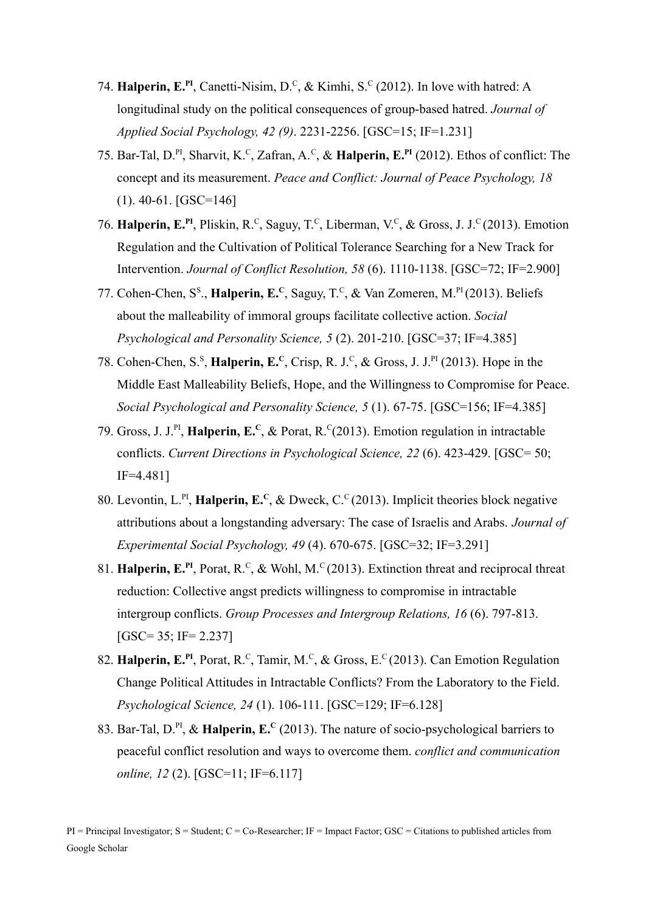- 74. **Halperin, E.<sup>PI</sup>**, Canetti-Nisim, D.<sup>C</sup>, & Kimhi, S.<sup>C</sup> (2012). In love with hatred: A longitudinal study on the political consequences of group-based hatred. *Journal of Applied Social Psychology, 42 (9)*. 2231-2256. [GSC=15; IF=1.231]
- 75. Bar-Tal, D.PI , Sharvit, K.<sup>C</sup> , Zafran, A.<sup>C</sup> , & **Halperin, E.PI** (2012). Ethos of conflict: The concept and its measurement. *Peace and Conflict: Journal of Peace Psychology, 18* (1). 40-61. [GSC=146]
- 76. Halperin, E.<sup>PI</sup>, Pliskin, R.<sup>C</sup>, Saguy, T.<sup>C</sup>, Liberman, V.<sup>C</sup>, & Gross, J. J.<sup>C</sup> (2013). Emotion Regulation and the Cultivation of Political Tolerance Searching for a New Track for Intervention. *Journal of Conflict Resolution, 58* (6). 1110-1138. [GSC=72; IF=2.900]
- 77. Cohen-Chen, S<sup>s</sup>., **Halperin, E.**<sup>C</sup>, Saguy, T.<sup>C</sup>, & Van Zomeren, M.<sup>PI</sup> (2013). Beliefs about the malleability of immoral groups facilitate collective action. *Social Psychological and Personality Science, 5* (2). 201-210. [GSC=37; IF=4.385]
- 78. Cohen-Chen, S.<sup>s</sup>, **Halperin, E.**<sup>C</sup>, Crisp, R. J.<sup>c</sup>, & Gross, J. J.<sup>PI</sup> (2013). Hope in the Middle East Malleability Beliefs, Hope, and the Willingness to Compromise for Peace. *Social Psychological and Personality Science, 5* (1). 67-75. [GSC=156; IF=4.385]
- 79. Gross, J. J.PI , **Halperin, E.<sup>C</sup>** , & Porat, R.<sup>C</sup> (2013). Emotion regulation in intractable conflicts. *Current Directions in Psychological Science, 22* (6). 423-429. [GSC= 50; IF=4.481]
- 80. Levontin, L.<sup>PI</sup>, Halperin, E.<sup>C</sup>, & Dweck, C.<sup>C</sup> (2013). Implicit theories block negative attributions about a longstanding adversary: The case of Israelis and Arabs. *Journal of Experimental Social Psychology, 49* (4). 670-675. [GSC=32; IF=3.291]
- 81. Halperin, E.<sup>PI</sup>, Porat, R.<sup>C</sup>, & Wohl, M.<sup>C</sup> (2013). Extinction threat and reciprocal threat reduction: Collective angst predicts willingness to compromise in intractable intergroup conflicts. *Group Processes and Intergroup Relations, 16* (6). 797-813. [GSC= 35; IF= 2.237]
- 82. Halperin, E.<sup>PI</sup>, Porat, R.<sup>C</sup>, Tamir, M.<sup>C</sup>, & Gross, E.<sup>C</sup> (2013). Can Emotion Regulation Change Political Attitudes in Intractable Conflicts? From the Laboratory to the Field. *Psychological Science, 24* (1). 106-111. [GSC=129; IF=6.128]
- 83. Bar-Tal, D.PI , & **Halperin, E.<sup>C</sup>** (2013). The nature of socio-psychological barriers to peaceful conflict resolution and ways to overcome them. *conflict and communication online, 12* (2). [GSC=11; IF=6.117]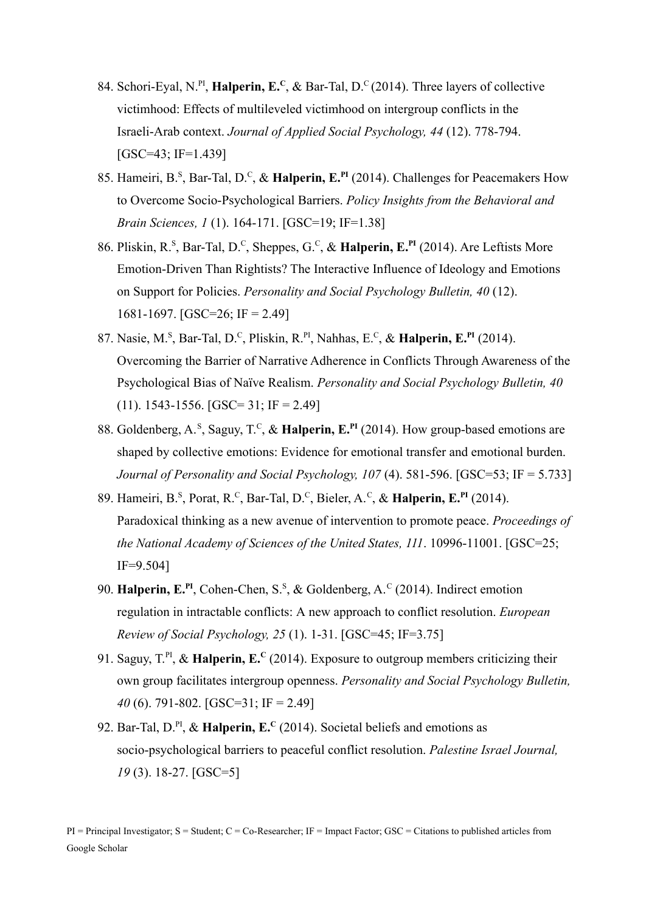- 84. Schori-Eyal, N.<sup>PI</sup>, **Halperin, E.**<sup>C</sup>, & Bar-Tal, D.<sup>C</sup> (2014). Three layers of collective victimhood: Effects of multileveled victimhood on intergroup conflicts in the Israeli-Arab context. *Journal of Applied Social Psychology, 44* (12). 778-794.  $[GSC=43; IF=1.439]$
- 85. Hameiri, B.<sup>s</sup>, Bar-Tal, D.<sup>c</sup>, & Halperin, E.<sup>PI</sup> (2014). Challenges for Peacemakers How to Overcome Socio-Psychological Barriers. *Policy Insights from the Behavioral and Brain Sciences, 1* (1). 164-171. [GSC=19; IF=1.38]
- 86. Pliskin, R.<sup>S</sup> , Bar-Tal, D.<sup>C</sup> , Sheppes, G.<sup>C</sup> , & **Halperin, E.PI** (2014). Are Leftists More Emotion-Driven Than Rightists? The Interactive Influence of Ideology and Emotions on Support for Policies. *Personality and Social Psychology Bulletin, 40* (12). 1681-1697. [GSC=26; IF = 2.49]
- 87. Nasie, M.<sup>s</sup>, Bar-Tal, D.<sup>c</sup>, Pliskin, R.<sup>PI</sup>, Nahhas, E.<sup>c</sup>, & **Halperin, E.<sup>PI</sup>** (2014). Overcoming the Barrier of Narrative Adherence in Conflicts Through Awareness of the Psychological Bias of Naïve Realism. *Personality and Social Psychology Bulletin, 40*  $(11)$ . 1543-1556. [GSC= 31; IF = 2.49]
- 88. Goldenberg, A.<sup>S</sup>, Saguy, T.<sup>C</sup>, & Halperin, E.<sup>PI</sup> (2014). How group-based emotions are shaped by collective emotions: Evidence for emotional transfer and emotional burden. *Journal of Personality and Social Psychology, 107* (4). 581-596. [GSC=53; IF = 5.733]
- 89. Hameiri, B.<sup>s</sup>, Porat, R.<sup>c</sup>, Bar-Tal, D.<sup>c</sup>, Bieler, A.<sup>c</sup>, & **Halperin, E.<sup>PI</sup>** (2014). Paradoxical thinking as a new avenue of intervention to promote peace. *Proceedings of the National Academy of Sciences of the United States, 111*. 10996-11001. [GSC=25; IF=9.504]
- 90. **Halperin, E.<sup>PI</sup>**, Cohen-Chen, S.<sup>S</sup>, & Goldenberg, A.<sup>C</sup> (2014). Indirect emotion regulation in intractable conflicts: A new approach to conflict resolution. *European Review of Social Psychology, 25* (1). 1-31. [GSC=45; IF=3.75]
- 91. Saguy, T.<sup>PI</sup>, & Halperin, E.<sup>c</sup> (2014). Exposure to outgroup members criticizing their own group facilitates intergroup openness. *Personality and Social Psychology Bulletin, 40* (6). 791-802. [GSC=31; IF = 2.49]
- 92. Bar-Tal, D.PI , & **Halperin, E.<sup>C</sup>** (2014). Societal beliefs and emotions as socio-psychological barriers to peaceful conflict resolution. *Palestine Israel Journal, 19* (3). 18-27. [GSC=5]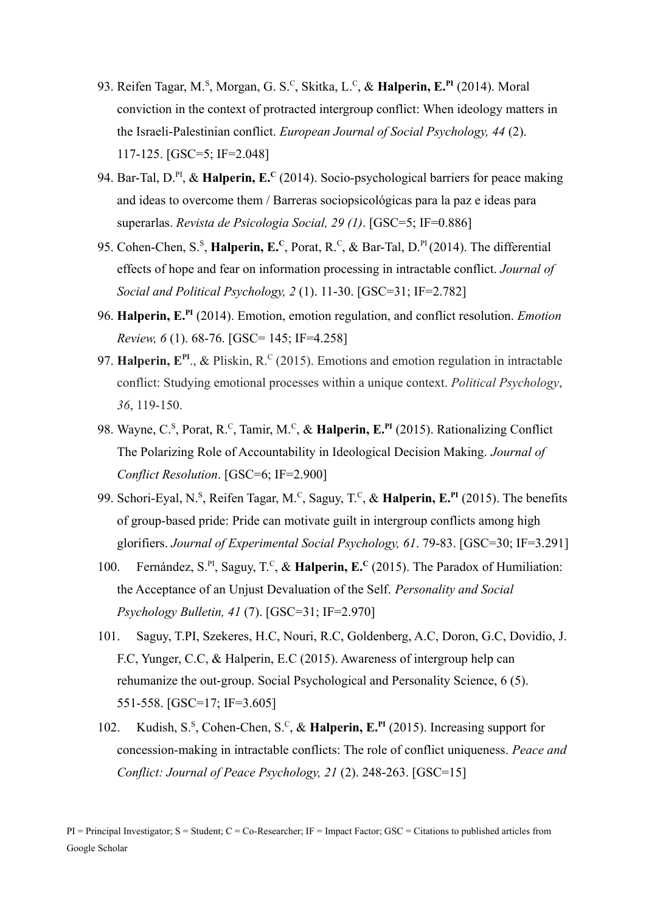- 93. Reifen Tagar, M.<sup>s</sup>, Morgan, G. S.<sup>c</sup>, Skitka, L.<sup>c</sup>, & Halperin, E.<sup>PI</sup> (2014). Moral conviction in the context of protracted intergroup conflict: When ideology matters in the Israeli-Palestinian conflict. *European Journal of Social Psychology, 44* (2). 117-125. [GSC=5; IF=2.048]
- 94. Bar-Tal, D.<sup>PI</sup>, & Halperin, E.<sup>C</sup> (2014). Socio-psychological barriers for peace making and ideas to overcome them / Barreras sociopsicológicas para la paz e ideas para superarlas. *Revista de Psicologia Social, 29 (1)*. [GSC=5; IF=0.886]
- 95. Cohen-Chen, S.<sup>S</sup>, **Halperin, E.**C, Porat, R.<sup>C</sup>, & Bar-Tal, D.<sup>PI</sup> (2014). The differential effects of hope and fear on information processing in intractable conflict. *Journal of Social and Political Psychology, 2* (1). 11-30. [GSC=31; IF=2.782]
- 96. **Halperin, E.PI** (2014). Emotion, emotion regulation, and conflict resolution. *Emotion Review, 6* (1). 68-76. [GSC= 145; IF=4.258]
- 97. Halperin, E<sup>PI</sup>., & Pliskin, R.<sup>C</sup> (2015). Emotions and emotion regulation in intractable conflict: Studying emotional processes within a unique context. *Political Psychology*, *36*, 119-150.
- 98. Wayne, C.<sup>s</sup>, Porat, R.<sup>c</sup>, Tamir, M.<sup>c</sup>, & Halperin, E.<sup>PI</sup> (2015). Rationalizing Conflict The Polarizing Role of Accountability in Ideological Decision Making. *Journal of Conflict Resolution*. [GSC=6; IF=2.900]
- 99. Schori-Eyal, N.<sup>S</sup>, Reifen Tagar, M.<sup>C</sup>, Saguy, T.<sup>C</sup>, & **Halperin, E.<sup>PI</sup>** (2015). The benefits of group-based pride: Pride can motivate guilt in intergroup conflicts among high glorifiers. *Journal of Experimental Social Psychology, 61*. 79-83. [GSC=30; IF=3.291]
- 100. Fernández, S.<sup>PI</sup>, Saguy, T.<sup>C</sup>, & Halperin, E.<sup>C</sup> (2015). The Paradox of Humiliation: the Acceptance of an Unjust Devaluation of the Self. *Personality and Social Psychology Bulletin, 41* (7). [GSC=31; IF=2.970]
- 101. Saguy, T.PI, Szekeres, H.C, Nouri, R.C, Goldenberg, A.C, Doron, G.C, Dovidio, J. F.C, Yunger, C.C, & Halperin, E.C (2015). Awareness of intergroup help can rehumanize the out-group. Social Psychological and Personality Science, 6 (5). 551-558. [GSC=17; IF=3.605]
- 102. Kudish, S.<sup>s</sup>, Cohen-Chen, S.<sup>c</sup>, & Halperin, E.<sup>PI</sup> (2015). Increasing support for concession-making in intractable conflicts: The role of conflict uniqueness. *Peace and Conflict: Journal of Peace Psychology, 21* (2). 248-263. [GSC=15]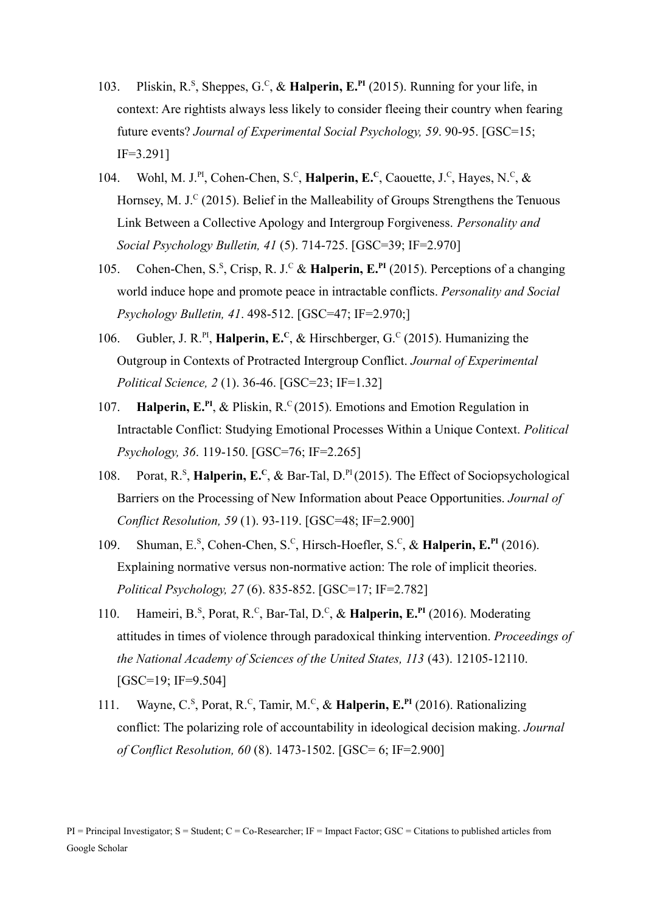- 103. Pliskin, R.<sup>s</sup>, Sheppes, G.<sup>c</sup>, & Halperin, E.<sup>PI</sup> (2015). Running for your life, in context: Are rightists always less likely to consider fleeing their country when fearing future events? *Journal of Experimental Social Psychology, 59*. 90-95. [GSC=15; IF=3.291]
- 104. Wohl, M. J.<sup>PI</sup>, Cohen-Chen, S.<sup>C</sup>, **Halperin, E.<sup>C</sup>**, Caouette, J.<sup>C</sup>, Hayes, N.<sup>C</sup>, & Hornsey, M. J.<sup>C</sup> (2015). Belief in the Malleability of Groups Strengthens the Tenuous Link Between a Collective Apology and Intergroup Forgiveness. *Personality and Social Psychology Bulletin, 41* (5). 714-725. [GSC=39; IF=2.970]
- 105. Cohen-Chen, S.<sup>S</sup>, Crisp, R. J.<sup>C</sup> & Halperin, E.<sup>PI</sup> (2015). Perceptions of a changing world induce hope and promote peace in intractable conflicts. *Personality and Social Psychology Bulletin, 41*. 498-512. [GSC=47; IF=2.970;]
- 106. Gubler, J. R.<sup>PI</sup>, **Halperin, E.**<sup>C</sup>, & Hirschberger, G.<sup>C</sup> (2015). Humanizing the Outgroup in Contexts of Protracted Intergroup Conflict. *Journal of Experimental Political Science, 2* (1). 36-46. [GSC=23; IF=1.32]
- 107. **Halperin, E.<sup>PI</sup>, & Pliskin, R.<sup>C</sup> (2015). Emotions and Emotion Regulation in** Intractable Conflict: Studying Emotional Processes Within a Unique Context. *Political Psychology, 36*. 119-150. [GSC=76; IF=2.265]
- 108. Porat, R.<sup>S</sup>, Halperin, E.<sup>C</sup>, & Bar-Tal, D.<sup>PI</sup> (2015). The Effect of Sociopsychological Barriers on the Processing of New Information about Peace Opportunities. *Journal of Conflict Resolution, 59* (1). 93-119. [GSC=48; IF=2.900]
- 109. Shuman, E.<sup>s</sup>, Cohen-Chen, S.<sup>c</sup>, Hirsch-Hoefler, S.<sup>c</sup>, & Halperin, E.<sup>PI</sup> (2016). Explaining normative versus non-normative action: The role of implicit theories. *Political Psychology, 27* (6). 835-852. [GSC=17; IF=2.782]
- 110. Hameiri, B.<sup>S</sup>, Porat, R.<sup>C</sup>, Bar-Tal, D.<sup>C</sup>, & Halperin, E.<sup>PI</sup> (2016). Moderating attitudes in times of violence through paradoxical thinking intervention. *Proceedings of the National Academy of Sciences of the United States, 113* (43). 12105-12110. [GSC=19; IF=9.504]
- 111. Wayne, C.<sup>s</sup>, Porat, R.<sup>c</sup>, Tamir, M.<sup>c</sup>, & Halperin, E.<sup>PI</sup> (2016). Rationalizing conflict: The polarizing role of accountability in ideological decision making. *Journal of Conflict Resolution, 60* (8). 1473-1502. [GSC= 6; IF=2.900]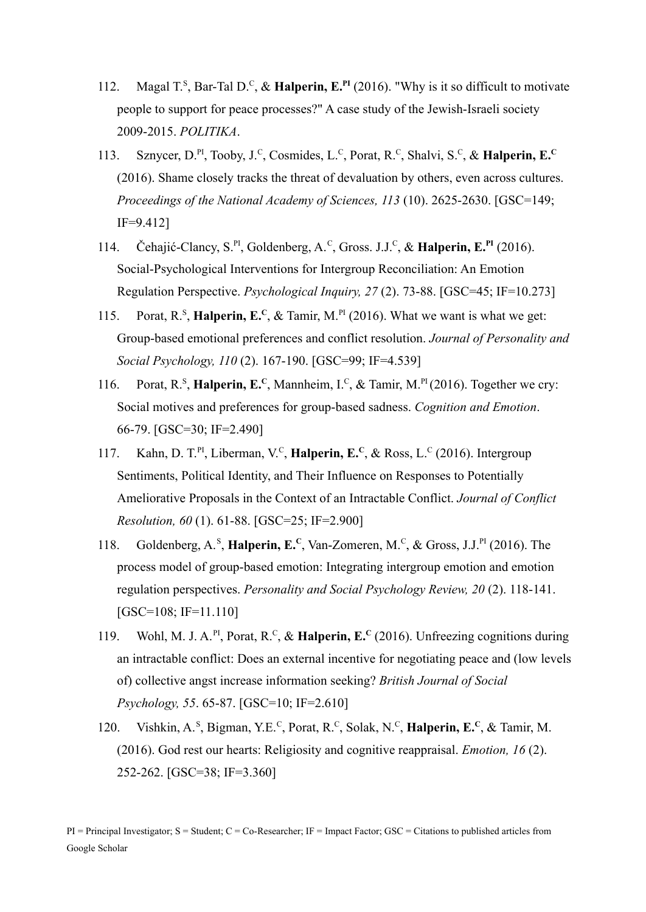- 112. Magal T.<sup>s</sup>, Bar-Tal D.<sup>c</sup>, & Halperin, E.<sup>PI</sup> (2016). "Why is it so difficult to motivate people to support for peace processes?" A case study of the Jewish-Israeli society 2009-2015. *POLITIKA*.
- 113. Sznycer, D.<sup>PI</sup>, Tooby, J.<sup>C</sup>, Cosmides, L.<sup>C</sup>, Porat, R.<sup>C</sup>, Shalvi, S.<sup>C</sup>, & Halperin, E.<sup>C</sup> (2016). Shame closely tracks the threat of devaluation by others, even across cultures. *Proceedings of the National Academy of Sciences, 113* (10). 2625-2630. [GSC=149; IF=9.412]
- 114. Čehajić-Clancy, S.<sup>PI</sup>, Goldenberg, A.<sup>C</sup>, Gross. J.J.<sup>C</sup>, & Halperin, E.<sup>PI</sup> (2016). Social-Psychological Interventions for Intergroup Reconciliation: An Emotion Regulation Perspective. *Psychological Inquiry, 27* (2). 73-88. [GSC=45; IF=10.273]
- 115. Porat,  $R^S$ , **Halperin, E.**<sup>c</sup>, & Tamir, M.<sup>PI</sup> (2016). What we want is what we get: Group-based emotional preferences and conflict resolution. *Journal of Personality and Social Psychology, 110* (2). 167-190. [GSC=99; IF=4.539]
- 116. Porat, R.<sup>S</sup>, Halperin, E.<sup>C</sup>, Mannheim, I.<sup>C</sup>, & Tamir, M.<sup>PI</sup> (2016). Together we cry: Social motives and preferences for group-based sadness. *Cognition and Emotion*. 66-79. [GSC=30; IF=2.490]
- 117. Kahn, D. T.<sup>PI</sup>, Liberman, V.<sup>C</sup>, **Halperin, E.<sup>C</sup>**, & Ross, L.<sup>C</sup> (2016). Intergroup Sentiments, Political Identity, and Their Influence on Responses to Potentially Ameliorative Proposals in the Context of an Intractable Conflict. *Journal of Conflict Resolution, 60* (1). 61-88. [GSC=25; IF=2.900]
- 118. Goldenberg, A.<sup>S</sup>, Halperin, E.<sup>C</sup>, Van-Zomeren, M.<sup>C</sup>, & Gross, J.J.<sup>PI</sup> (2016). The process model of group-based emotion: Integrating intergroup emotion and emotion regulation perspectives. *Personality and Social Psychology Review, 20* (2). 118-141. [GSC=108; IF=11.110]
- 119. Wohl, M. J. A.<sup>PI</sup>, Porat, R.<sup>C</sup>, & Halperin, E.<sup>C</sup> (2016). Unfreezing cognitions during an intractable conflict: Does an external incentive for negotiating peace and (low levels of) collective angst increase information seeking? *British Journal of Social Psychology, 55*. 65-87. [GSC=10; IF=2.610]
- 120. Vishkin, A.<sup>s</sup>, Bigman, Y.E.<sup>c</sup>, Porat, R.<sup>c</sup>, Solak, N.<sup>c</sup>, **Halperin, E.<sup>c</sup>**, & Tamir, M. (2016). God rest our hearts: Religiosity and cognitive reappraisal. *Emotion, 16* (2). 252-262. [GSC=38; IF=3.360]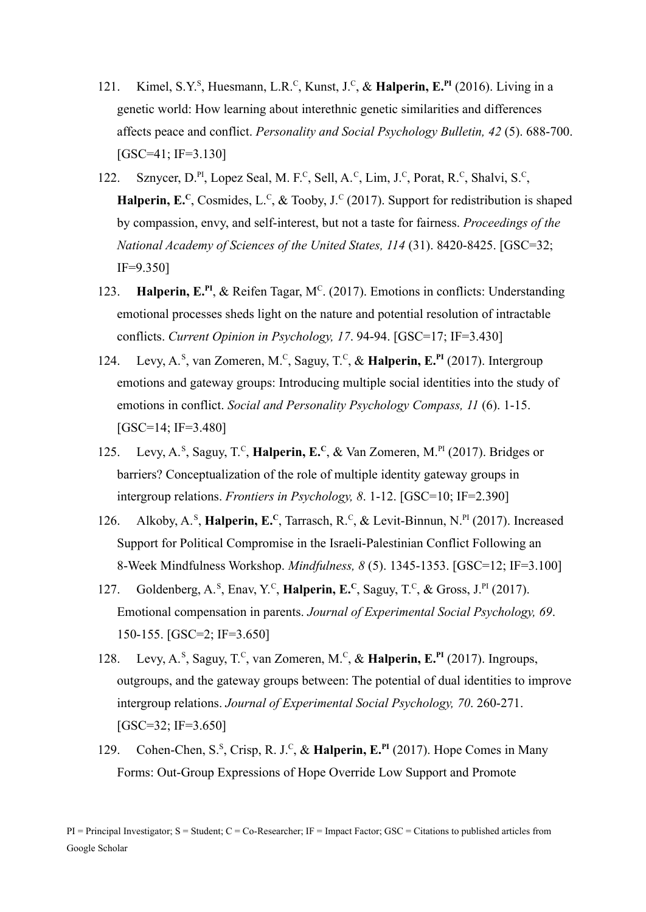- 121. Kimel, S.Y.<sup>S</sup>, Huesmann, L.R.<sup>C</sup>, Kunst, J.<sup>C</sup>, & Halperin, E.<sup>PI</sup> (2016). Living in a genetic world: How learning about interethnic genetic similarities and differences affects peace and conflict. *Personality and Social Psychology Bulletin, 42* (5). 688-700. [GSC=41; IF=3.130]
- 122. Sznycer, D.<sup>PI</sup>, Lopez Seal, M. F.<sup>c</sup>, Sell, A.<sup>c</sup>, Lim, J.<sup>c</sup>, Porat, R.<sup>c</sup>, Shalvi, S.<sup>c</sup>, **Halperin, E.<sup>C</sup>**, Cosmides, L.<sup>C</sup>, & Tooby, J.<sup>C</sup> (2017). Support for redistribution is shaped by compassion, envy, and self-interest, but not a taste for fairness. *Proceedings of the National Academy of Sciences of the United States, 114* (31). 8420-8425. [GSC=32; IF=9.350]
- 123. **Halperin, E.<sup>PI</sup>, & Reifen Tagar, M<sup>C</sup>. (2017). Emotions in conflicts: Understanding** emotional processes sheds light on the nature and potential resolution of intractable conflicts. *Current Opinion in Psychology, 17*. 94-94. [GSC=17; IF=3.430]
- 124. Levy, A.<sup>s</sup>, van Zomeren, M.<sup>c</sup>, Saguy, T.<sup>c</sup>, & Halperin, E.<sup>PI</sup> (2017). Intergroup emotions and gateway groups: Introducing multiple social identities into the study of emotions in conflict. *Social and Personality Psychology Compass, 11* (6). 1-15. [GSC=14; IF=3.480]
- 125. Levy, A.<sup>s</sup>, Saguy, T.<sup>c</sup>, **Halperin, E.**<sup>c</sup>, & Van Zomeren, M.<sup>PI</sup> (2017). Bridges or barriers? Conceptualization of the role of multiple identity gateway groups in intergroup relations. *Frontiers in Psychology, 8*. 1-12. [GSC=10; IF=2.390]
- 126. Alkoby, A.<sup>s</sup>, **Halperin, E.**<sup>C</sup>, Tarrasch, R.<sup>c</sup>, & Levit-Binnun, N.<sup>PI</sup> (2017). Increased Support for Political Compromise in the Israeli-Palestinian Conflict Following an 8-Week Mindfulness Workshop. *Mindfulness, 8* (5). 1345-1353. [GSC=12; IF=3.100]
- 127. Goldenberg, A.<sup>S</sup>, Enav, Y.<sup>C</sup>, **Halperin, E.**<sup>C</sup>, Saguy, T.<sup>C</sup>, & Gross, J.<sup>PI</sup> (2017). Emotional compensation in parents. *Journal of Experimental Social Psychology, 69*. 150-155. [GSC=2; IF=3.650]
- 128. Levy, A.<sup>s</sup>, Saguy, T.<sup>c</sup>, van Zomeren, M.<sup>c</sup>, & Halperin, E.<sup>PI</sup> (2017). Ingroups, outgroups, and the gateway groups between: The potential of dual identities to improve intergroup relations. *Journal of Experimental Social Psychology, 70*. 260-271. [GSC=32; IF=3.650]
- 129. Cohen-Chen, S.<sup>s</sup>, Crisp, R. J.<sup>c</sup>, & Halperin, E.<sup>PI</sup> (2017). Hope Comes in Many Forms: Out-Group Expressions of Hope Override Low Support and Promote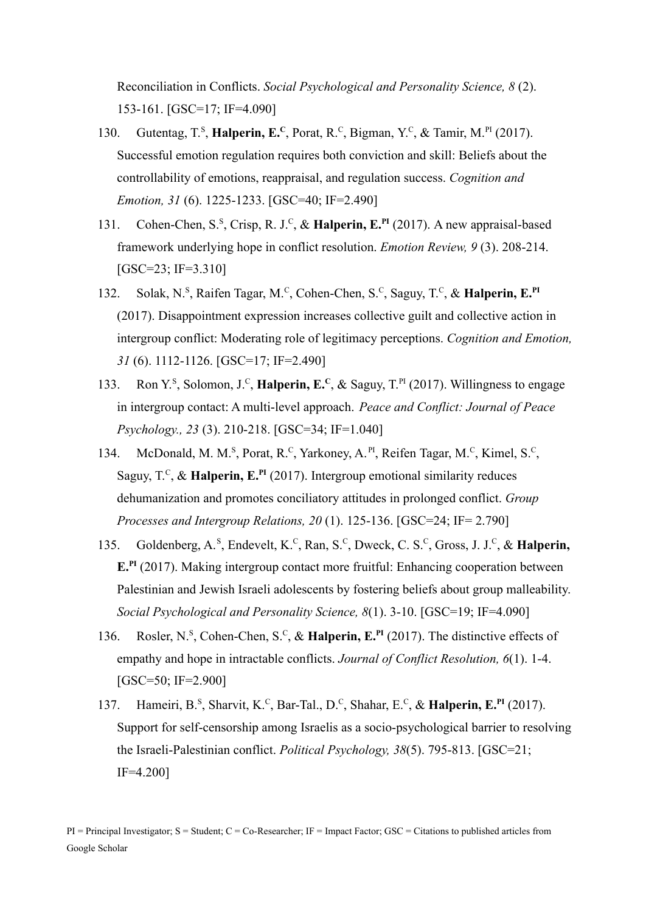Reconciliation in Conflicts. *Social Psychological and Personality Science, 8* (2). 153-161. [GSC=17; IF=4.090]

- 130. Gutentag, T.<sup>s</sup>, Halperin, E.<sup>c</sup>, Porat, R.<sup>c</sup>, Bigman, Y.<sup>c</sup>, & Tamir, M.<sup>PI</sup> (2017). Successful emotion regulation requires both conviction and skill: Beliefs about the controllability of emotions, reappraisal, and regulation success. *Cognition and Emotion, 31* (6). 1225-1233. [GSC=40; IF=2.490]
- 131. Cohen-Chen, S.<sup>S</sup>, Crisp, R. J.<sup>C</sup>, & Halperin, E.<sup>PI</sup> (2017). A new appraisal-based framework underlying hope in conflict resolution. *Emotion Review, 9* (3). 208-214. [GSC=23; IF=3.310]
- 132. Solak, N.<sup>s</sup>, Raifen Tagar, M.<sup>c</sup>, Cohen-Chen, S.<sup>c</sup>, Saguy, T.<sup>c</sup>, & Halperin, E.<sup>PI</sup> (2017). Disappointment expression increases collective guilt and collective action in intergroup conflict: Moderating role of legitimacy perceptions. *Cognition and Emotion, 31* (6). 1112-1126. [GSC=17; IF=2.490]
- 133. Ron Y.<sup>s</sup>, Solomon, J.<sup>c</sup>, **Halperin, E.<sup>c</sup>**, & Saguy, T.<sup>PI</sup> (2017). Willingness to engage in intergroup contact: A multi-level approach. *Peace and Conflict: Journal of Peace Psychology., 23* (3). 210-218. [GSC=34; IF=1.040]
- 134. McDonald, M. M.<sup>S</sup>, Porat, R.<sup>C</sup>, Yarkoney, A.<sup>PI</sup>, Reifen Tagar, M.<sup>C</sup>, Kimel, S.<sup>C</sup>, Saguy, T.<sup>C</sup>, & Halperin, E.<sup>PI</sup> (2017). Intergroup emotional similarity reduces dehumanization and promotes conciliatory attitudes in prolonged conflict. *Group Processes and Intergroup Relations, 20* (1). 125-136. [GSC=24; IF= 2.790]
- 135. Goldenberg, A.<sup>s</sup>, Endevelt, K.<sup>c</sup>, Ran, S.<sup>c</sup>, Dweck, C. S.<sup>c</sup>, Gross, J. J.<sup>c</sup>, & **Halperin, E.**<sup>PI</sup> (2017). Making intergroup contact more fruitful: Enhancing cooperation between Palestinian and Jewish Israeli adolescents by fostering beliefs about group malleability. *Social Psychological and Personality Science, 8*(1). 3-10. [GSC=19; IF=4.090]
- 136. Rosler, N.<sup>s</sup>, Cohen-Chen, S.<sup>c</sup>, & Halperin, E.<sup>PI</sup> (2017). The distinctive effects of empathy and hope in intractable conflicts. *Journal of Conflict Resolution, 6*(1). 1-4. [GSC=50; IF=2.900]
- 137. Hameiri, B.<sup>s</sup>, Sharvit, K.<sup>c</sup>, Bar-Tal., D.<sup>c</sup>, Shahar, E.<sup>c</sup>, & Halperin, E.<sup>PI</sup> (2017). Support for self-censorship among Israelis as a socio-psychological barrier to resolving the Israeli-Palestinian conflict. *Political Psychology, 38*(5). 795-813. [GSC=21; IF=4.200]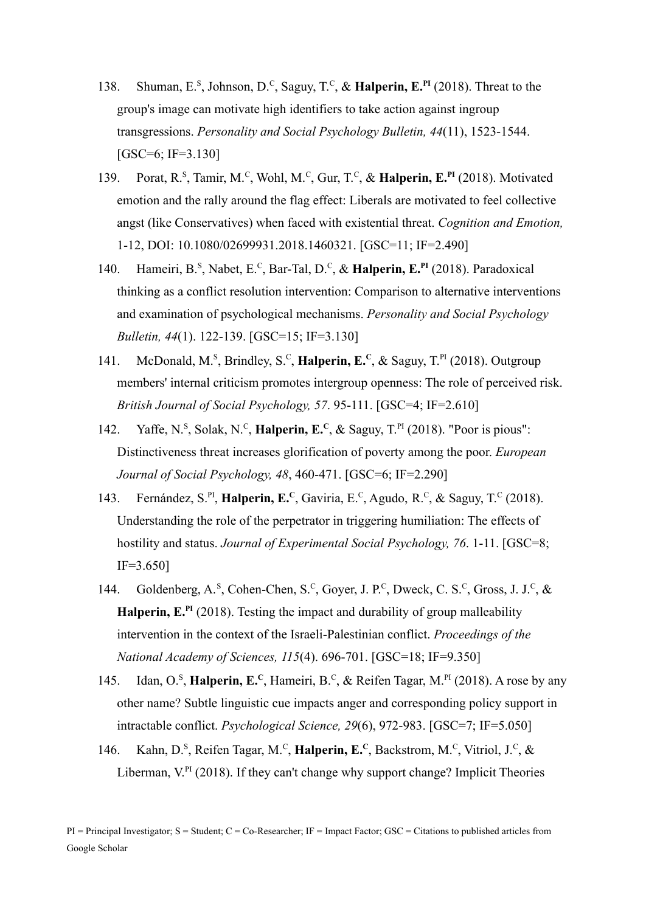- 138. Shuman, E.<sup>S</sup>, Johnson, D.<sup>C</sup>, Saguy, T.<sup>C</sup>, & Halperin, E.<sup>PI</sup> (2018). Threat to the group's image can motivate high identifiers to take action against ingroup transgressions. *Personality and Social Psychology Bulletin, 44*(11), 1523-1544. [GSC=6; IF=3.130]
- 139. Porat, R.<sup>s</sup>, Tamir, M.<sup>c</sup>, Wohl, M.<sup>c</sup>, Gur, T.<sup>c</sup>, & Halperin, E.<sup>PI</sup> (2018). Motivated emotion and the rally around the flag effect: Liberals are motivated to feel collective angst (like Conservatives) when faced with existential threat. *Cognition and Emotion,* 1-12, DOI: 10.1080/02699931.2018.1460321. [GSC=11; IF=2.490]
- 140. Hameiri, B.<sup>S</sup>, Nabet, E.<sup>C</sup>, Bar-Tal, D.<sup>C</sup>, & Halperin, E.<sup>PI</sup> (2018). Paradoxical thinking as a conflict resolution intervention: Comparison to alternative interventions and examination of psychological mechanisms. *Personality and Social Psychology Bulletin, 44*(1). 122-139. [GSC=15; IF=3.130]
- 141. McDonald, M.<sup>S</sup>, Brindley, S.<sup>C</sup>, **Halperin, E.**C, & Saguy, T.<sup>PI</sup> (2018). Outgroup members' internal criticism promotes intergroup openness: The role of perceived risk. *British Journal of Social Psychology, 57*. 95-111. [GSC=4; IF=2.610]
- 142. Yaffe, N.<sup>s</sup>, Solak, N.<sup>c</sup>, **Halperin, E.**<sup>c</sup>, & Saguy, T.<sup>PI</sup> (2018). "Poor is pious": Distinctiveness threat increases glorification of poverty among the poor. *European Journal of Social Psychology, 48*, 460-471. [GSC=6; IF=2.290]
- 143. Fernández, S.<sup>PI</sup>, Halperin, E.<sup>C</sup>, Gaviria, E.<sup>C</sup>, Agudo, R.<sup>C</sup>, & Saguy, T.<sup>C</sup> (2018). Understanding the role of the perpetrator in triggering humiliation: The effects of hostility and status. *Journal of Experimental Social Psychology, 76*. 1-11. [GSC=8; IF=3.650]
- 144. Goldenberg, A.<sup>s</sup>, Cohen-Chen, S.<sup>c</sup>, Goyer, J. P.<sup>c</sup>, Dweck, C. S.<sup>c</sup>, Gross, J. J.<sup>c</sup>, & **Halperin, E.PI** (2018). Testing the impact and durability of group malleability intervention in the context of the Israeli-Palestinian conflict. *Proceedings of the National Academy of Sciences, 115*(4). 696-701. [GSC=18; IF=9.350]
- 145. Idan, O.<sup>s</sup>, Halperin, E.<sup>c</sup>, Hameiri, B.<sup>c</sup>, & Reifen Tagar, M.<sup>PI</sup> (2018). A rose by any other name? Subtle linguistic cue impacts anger and corresponding policy support in intractable conflict. *Psychological Science, 29*(6), 972-983. [GSC=7; IF=5.050]
- 146. Kahn, D.<sup>s</sup>, Reifen Tagar, M.<sup>c</sup>, **Halperin, E.**<sup>c</sup>, Backstrom, M.<sup>c</sup>, Vitriol, J.<sup>c</sup>, & Liberman, V.<sup>PI</sup> (2018). If they can't change why support change? Implicit Theories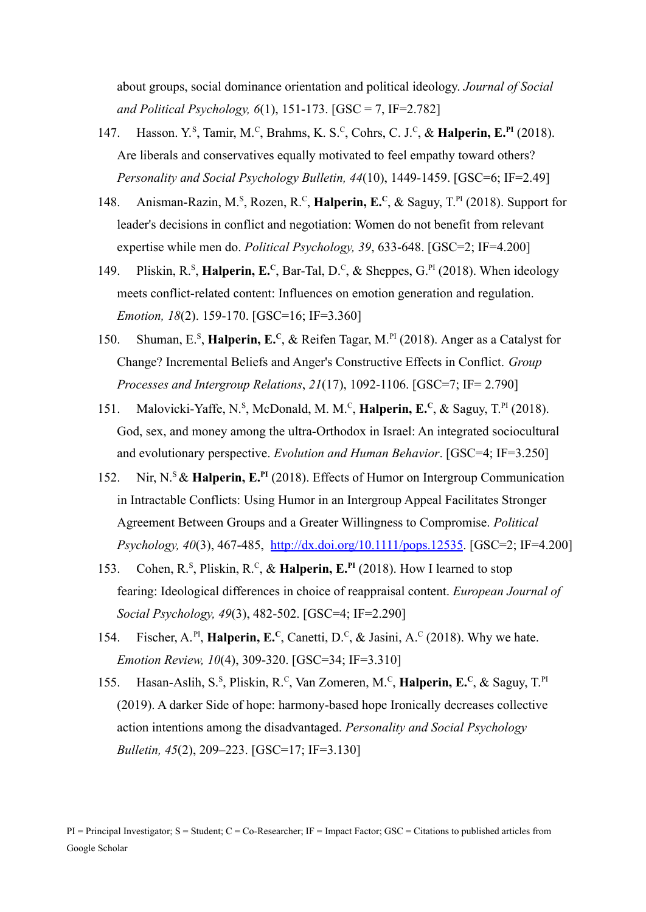about groups, social dominance orientation and political ideology. *Journal of Social and Political Psychology, 6*(1), 151-173. [GSC = 7, IF=2.782]

- 147. Hasson. Y.<sup>s</sup>, Tamir, M.<sup>c</sup>, Brahms, K. S.<sup>c</sup>, Cohrs, C. J.<sup>c</sup>, & Halperin, E.<sup>PI</sup> (2018). Are liberals and conservatives equally motivated to feel empathy toward others? *Personality and Social Psychology Bulletin, 44*(10), 1449-1459. [GSC=6; IF=2.49]
- 148. Anisman-Razin, M.<sup>s</sup>, Rozen, R.<sup>c</sup>, **Halperin, E.<sup>c</sup>**, & Saguy, T.<sup>PI</sup> (2018). Support for leader's decisions in conflict and negotiation: Women do not benefit from relevant expertise while men do. *Political Psychology, 39*, 633-648. [GSC=2; IF=4.200]
- 149. Pliskin, R.<sup>S</sup>, Halperin, E.<sup>C</sup>, Bar-Tal, D.<sup>C</sup>, & Sheppes, G.<sup>PI</sup> (2018). When ideology meets conflict-related content: Influences on emotion generation and regulation. *Emotion, 18*(2). 159-170. [GSC=16; IF=3.360]
- 150. Shuman, E.<sup>s</sup>, Halperin, E.<sup>c</sup>, & Reifen Tagar, M.<sup>PI</sup> (2018). Anger as a Catalyst for Change? Incremental Beliefs and Anger's Constructive Effects in Conflict. *Group Processes and Intergroup Relations*, *21*(17), 1092-1106. [GSC=7; IF= 2.790]
- 151. Malovicki-Yaffe, N.<sup>s</sup>, McDonald, M. M.<sup>c</sup>, **Halperin, E.**<sup>c</sup>, & Saguy, T.<sup>PI</sup> (2018). God, sex, and money among the ultra-Orthodox in Israel: An integrated sociocultural and evolutionary perspective. *Evolution and Human Behavior*. [GSC=4; IF=3.250]
- 152. Nir, N.<sup>S</sup>& **Halperin, E.PI** (2018). Effects of Humor on Intergroup Communication in Intractable Conflicts: Using Humor in an Intergroup Appeal Facilitates Stronger Agreement Between Groups and a Greater Willingness to Compromise. *Political Psychology, 40*(3), 467-485, <http://dx.doi.org/10.1111/pops.12535>. [GSC=2; IF=4.200]
- 153. Cohen, R.<sup>s</sup>, Pliskin, R.<sup>c</sup>, & Halperin, E.<sup>PI</sup> (2018). How I learned to stop fearing: Ideological differences in choice of reappraisal content. *European Journal of Social Psychology, 49*(3), 482-502. [GSC=4; IF=2.290]
- 154. Fischer, A.<sup>PI</sup>, **Halperin, E.**<sup>C</sup>, Canetti, D.<sup>C</sup>, & Jasini, A.<sup>C</sup> (2018). Why we hate. *Emotion Review, 10*(4), 309-320. [GSC=34; IF=3.310]
- 155. Hasan-Aslih, S.<sup>s</sup>, Pliskin, R.<sup>c</sup>, Van Zomeren, M.<sup>c</sup>, Halperin, E.<sup>c</sup>, & Saguy, T.<sup>P1</sup> (2019). A darker Side of hope: harmony-based hope Ironically decreases collective action intentions among the disadvantaged. *Personality and Social Psychology Bulletin, 45*(2), 209–223. [GSC=17; IF=3.130]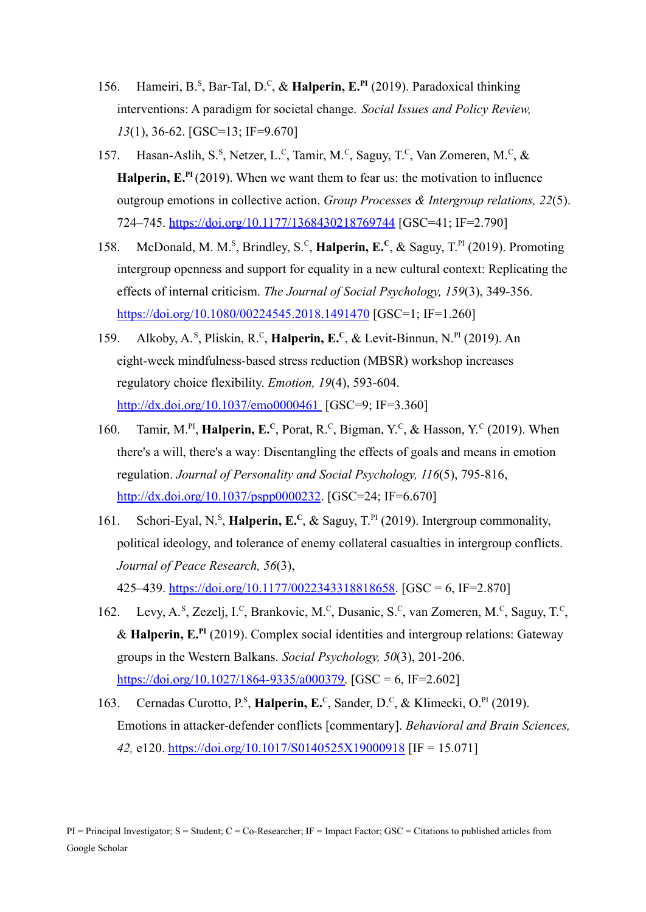- 156. Hameiri, B.<sup>s</sup>, Bar-Tal, D.<sup>c</sup>, & Halperin, E.<sup>PI</sup> (2019). Paradoxical thinking interventions: A paradigm for societal change. *Social Issues and Policy Review, 13*(1), 36-62. [GSC=13; IF=9.670]
- 157. Hasan-Aslih, S.<sup>S</sup>, Netzer, L.<sup>C</sup>, Tamir, M.<sup>C</sup>, Saguy, T.<sup>C</sup>, Van Zomeren, M.<sup>C</sup>, & **Halperin, E.PI** (2019). When we want them to fear us: the motivation to influence outgroup emotions in collective action. *Group Processes & Intergroup relations, 22*(5). 724–745. <https://doi.org/10.1177/1368430218769744> [GSC=41; IF=2.790]
- 158. McDonald, M. M.<sup>S</sup>, Brindley, S.<sup>C</sup>, **Halperin, E.<sup>C</sup>**, & Saguy, T.<sup>PI</sup> (2019). Promoting intergroup openness and support for equality in a new cultural context: Replicating the effects of internal criticism. *The Journal of Social Psychology, 159*(3), 349-356. <https://doi.org/10.1080/00224545.2018.1491470> [GSC=1; IF=1.260]
- 159. Alkoby, A.<sup>s</sup>, Pliskin, R.<sup>c</sup>, **Halperin, E.<sup>c</sup>**, & Levit-Binnun, N.<sup>PI</sup> (2019). An eight-week mindfulness-based stress reduction (MBSR) workshop increases regulatory choice flexibility. *Emotion, 19*(4), 593-604. [http://dx.doi.org/10.1037/emo0000461](http://dx.doi.org/10.1037/emo0000461%C2%A0) [GSC=9; IF=3.360]
- 160. Tamir, M.<sup>PI</sup>, **Halperin, E.**<sup>C</sup>, Porat, R.<sup>C</sup>, Bigman, Y.<sup>C</sup>, & Hasson, Y.<sup>C</sup> (2019). When there's a will, there's a way: Disentangling the effects of goals and means in emotion regulation. *Journal of Personality and Social Psychology, 116*(5), 795-816, [http://dx.doi.org/10.1037/pspp0000232](https://psycnet.apa.org/doi/10.1037/pspp0000232). [GSC=24; IF=6.670]
- 161. Schori-Eyal, N.<sup>s</sup>, **Halperin, E.<sup>c</sup>**, & Saguy, T.<sup>PI</sup> (2019). Intergroup commonality, political ideology, and tolerance of enemy collateral casualties in intergroup conflicts. *Journal of Peace Research, 56*(3), 425–439. [https://doi.org/10.1177/0022343318818658.](https://doi.org/10.1177/0022343318818658) [GSC = 6, IF=2.870]
- 162. Levy, A.<sup>s</sup>, Zezelj, I.<sup>c</sup>, Brankovic, M.<sup>c</sup>, Dusanic, S.<sup>c</sup>, van Zomeren, M.<sup>c</sup>, Saguy, T.<sup>c</sup>, & **Halperin, E.PI** (2019). Complex social identities and intergroup relations: Gateway groups in the Western Balkans. *Social Psychology, 50*(3), 201-206. [https://doi.org/10.1027/1864-9335/a000379.](https://doi.org/10.1027/1864-9335/a000379) [GSC = 6, IF=2.602]
- 163. Cernadas Curotto, P.<sup>s</sup>, **Halperin, E.**<sup>c</sup>, Sander, D.<sup>c</sup>, & Klimecki, O.<sup>PI</sup> (2019). Emotions in attacker-defender conflicts [commentary]. *Behavioral and Brain Sciences, 42,* e120. <https://doi.org/10.1017/S0140525X19000918> [IF = 15.071]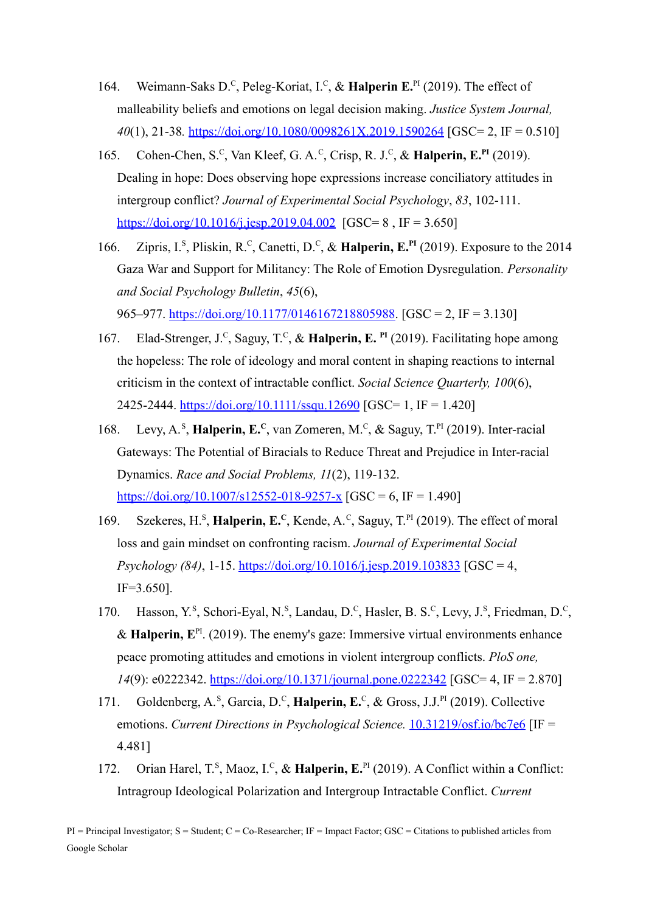- 164. Weimann-Saks D.<sup>C</sup>, Peleg-Koriat, I.<sup>C</sup>, & Halperin E.<sup>PI</sup> (2019). The effect of malleability beliefs and emotions on legal decision making. *Justice System Journal, 40*(1), 21-38*.* <https://doi.org/10.1080/0098261X.2019.1590264> [GSC= 2, IF = 0.510]
- 165. Cohen-Chen, S.<sup>C</sup>, Van Kleef, G. A.<sup>C</sup>, Crisp, R. J.<sup>C</sup>, & Halperin, E.<sup>PI</sup> (2019). Dealing in hope: Does observing hope expressions increase conciliatory attitudes in intergroup conflict? *Journal of Experimental Social Psychology*, *83*, 102-111. <https://doi.org/10.1016/j.jesp.2019.04.002> [GSC= 8, IF = 3.650]
- 166. Zipris, I.<sup>s</sup>, Pliskin, R.<sup>c</sup>, Canetti, D.<sup>c</sup>, & Halperin, E.<sup>PI</sup> (2019). Exposure to the 2014 Gaza War and Support for Militancy: The Role of Emotion Dysregulation. *Personality and Social Psychology Bulletin*, *45*(6),

965–977. [https://doi.org/10.1177/0146167218805988.](https://doi.org/10.1177/0146167218805988) [GSC = 2, IF = 3.130]

- 167. Elad-Strenger, J.<sup>C</sup>, Saguy, T.<sup>C</sup>, & Halperin, E. <sup>PI</sup> (2019). Facilitating hope among the hopeless: The role of ideology and moral content in shaping reactions to internal criticism in the context of intractable conflict. *Social Science Quarterly, 100*(6), 2425-2444. <https://doi.org/10.1111/ssqu.12690> [GSC= 1, IF = 1.420]
- 168. Levy, A.<sup>S</sup>, Halperin, E.<sup>C</sup>, van Zomeren, M.<sup>C</sup>, & Saguy, T.<sup>PI</sup> (2019). Inter-racial Gateways: The Potential of Biracials to Reduce Threat and Prejudice in Inter-racial Dynamics. *Race and Social Problems, 11*(2), 119-132. <https://doi.org/10.1007/s12552-018-9257-x>  $[GSC = 6, IF = 1.490]$
- 169. Szekeres, H.<sup>S</sup>, **Halperin, E.**C, Kende, A.<sup>C</sup>, Saguy, T.<sup>PI</sup> (2019). The effect of moral loss and gain mindset on confronting racism. *Journal of Experimental Social Psychology (84)*, 1-15. <https://doi.org/10.1016/j.jesp.2019.103833> [GSC = 4, IF=3.650].
- 170. Hasson, Y.<sup>s</sup>, Schori-Eyal, N.<sup>s</sup>, Landau, D.<sup>c</sup>, Hasler, B. S.<sup>c</sup>, Levy, J.<sup>s</sup>, Friedman, D.<sup>c</sup>, & **Halperin,**  $E^{PI}$ . (2019). The enemy's gaze: Immersive virtual environments enhance peace promoting attitudes and emotions in violent intergroup conflicts. *PloS one, 14*(9): e0222342. <https://doi.org/10.1371/journal.pone.0222342> [GSC= 4, IF = 2.870]
- 171. Goldenberg, A.<sup>s</sup>, Garcia, D.<sup>c</sup>, **Halperin, E.**<sup>c</sup>, & Gross, J.J.<sup>PI</sup> (2019). Collective emotions. *Current Directions in Psychological Science.* [10.31219/osf.io/bc7e6](https://doi.org/10.31219/osf.io/bc7e6) [IF = 4.481]
- 172. Orian Harel, T.<sup>s</sup>, Maoz, I.<sup>c</sup>, & Halperin, E.<sup>PI</sup> (2019). A Conflict within a Conflict: Intragroup Ideological Polarization and Intergroup Intractable Conflict. *Current*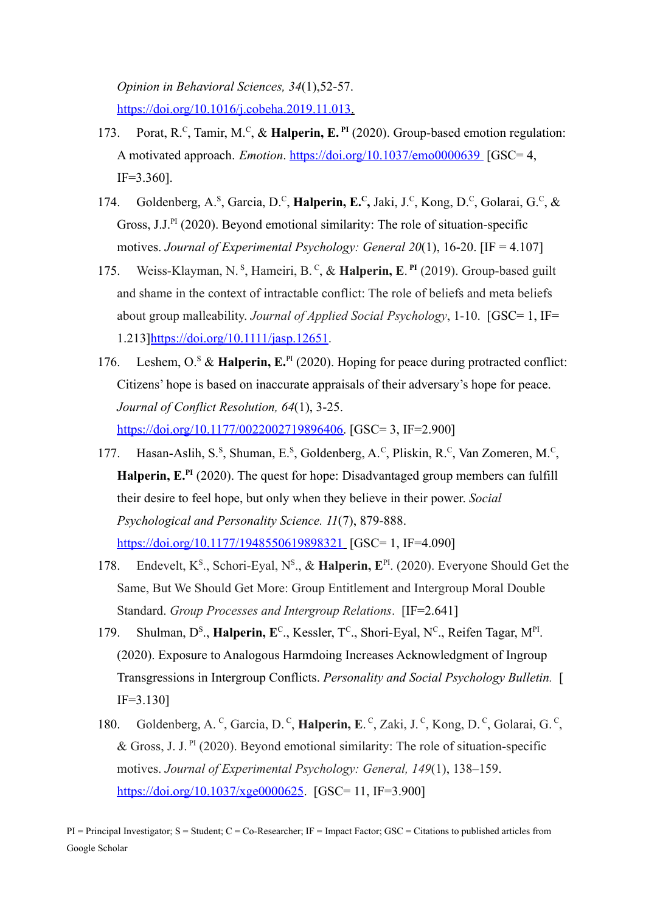*Opinion in Behavioral Sciences, 34*(1),52-57. [https://doi.org/10.1016/j.cobeha.2019.11.013.](https://doi.org/10.1016/j.cobeha.2019.11.013)

- 173. Porat, R.<sup>C</sup>, Tamir, M.<sup>C</sup>, & Halperin, E.<sup>PI</sup> (2020). Group-based emotion regulation: A motivated approach. *Emotion*. <https://doi.org/10.1037/emo0000639> [GSC= 4, IF=3.360].
- 174. Goldenberg, A.<sup>s</sup>, Garcia, D.<sup>c</sup>, **Halperin, E.<sup>c</sup>**, Jaki, J.<sup>c</sup>, Kong, D.<sup>c</sup>, Golarai, G.<sup>c</sup>, & Gross, J.J.<sup>PI</sup> (2020). Beyond emotional similarity: The role of situation-specific motives. *Journal of Experimental Psychology: General 20*(1), 16-20. [IF = 4.107]
- 175. Weiss-Klayman, N.<sup>s</sup>, Hameiri, B.<sup>c</sup>, & **Halperin, E.<sup>PI</sup>** (2019). Group-based guilt and shame in the context of intractable conflict: The role of beliefs and meta beliefs about group malleability. *Journal of Applied Social Psychology*, 1-10. [GSC= 1, IF= 1.213]<https://doi.org/10.1111/jasp.12651>.
- 176. Leshem, O.<sup>S</sup> & Halperin, E.<sup>PI</sup> (2020). Hoping for peace during protracted conflict: Citizens' hope is based on inaccurate appraisals of their adversary's hope for peace. *Journal of Conflict Resolution, 64*(1), 3-25. [https://doi.org/10.1177/0022002719896406.](https://doi.org/10.1177%2F0022002719896406) [GSC= 3, IF=2.900]
- 177. Hasan-Aslih, S.<sup>s</sup>, Shuman, E.<sup>s</sup>, Goldenberg, A.<sup>c</sup>, Pliskin, R.<sup>c</sup>, Van Zomeren, M.<sup>c</sup>, **Halperin, E.PI** (2020). The quest for hope: Disadvantaged group members can fulfill their desire to feel hope, but only when they believe in their power. *Social Psychological and Personality Science. 11*(7), 879-888. <https://doi.org/10.1177/1948550619898321> [GSC= 1, IF=4.090]
- 178. Endevelt, K<sup>s</sup>., Schori-Eyal, N<sup>s</sup>., & Halperin, E<sup>PI</sup>. (2020). Everyone Should Get the Same, But We Should Get More: Group Entitlement and Intergroup Moral Double Standard. *Group Processes and Intergroup Relations*. [IF=2.641]
- 179. Shulman, D<sup>s</sup>., Halperin, E<sup>c</sup>., Kessler, T<sup>c</sup>., Shori-Eyal, N<sup>c</sup>., Reifen Tagar, M<sup>PI</sup>. (2020). Exposure to Analogous Harmdoing Increases Acknowledgment of Ingroup Transgressions in Intergroup Conflicts. *Personality and Social Psychology Bulletin.* [ IF=3.130]
- 180. Goldenberg, A.<sup>c</sup>, Garcia, D.<sup>c</sup>, **Halperin, E.**<sup>c</sup>, Zaki, J.<sup>c</sup>, Kong, D.<sup>c</sup>, Golarai, G.<sup>c</sup>, & Gross, J. J.  $P^{I}$  (2020). Beyond emotional similarity: The role of situation-specific motives. *Journal of Experimental Psychology: General, 149*(1), 138–159. [https://doi.org/10.1037/xge0000625](https://psycnet.apa.org/doi/10.1037/xge0000625). [GSC= 11, IF=3.900]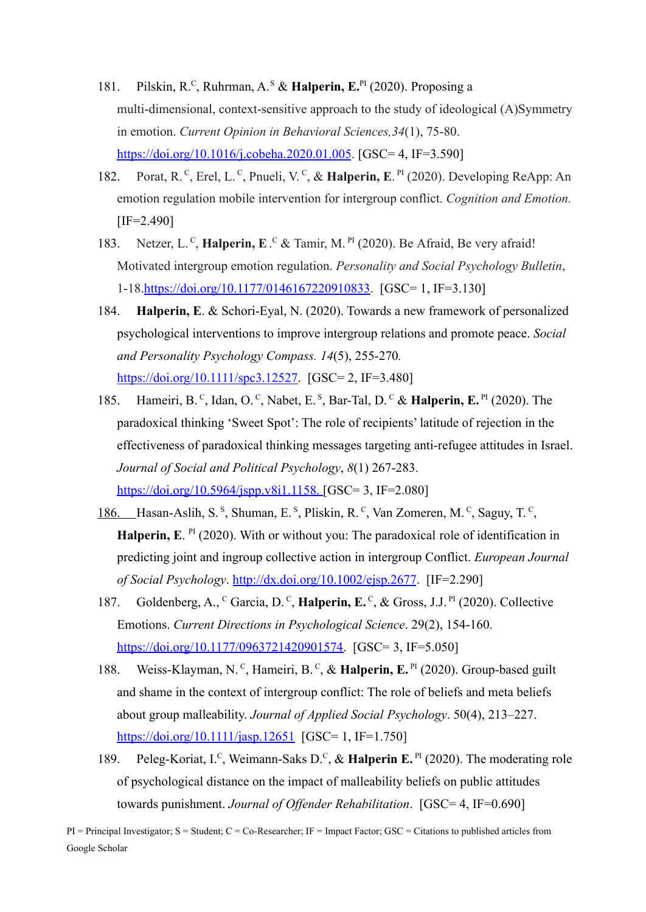- 181. Pilskin, R.<sup>C</sup>, Ruhrman, A.<sup>s</sup> & Halperin, E.<sup>PI</sup> (2020). Proposing a multi-dimensional, context-sensitive approach to the study of ideological (A)Symmetry in emotion. *Current Opinion in Behavioral Sciences,34*(1), 75-80. <https://doi.org/10.1016/j.cobeha.2020.01.005>. [GSC= 4, IF=3.590]
- 182. Porat, R.<sup>C</sup>, Erel, L.<sup>C</sup>, Pnueli, V.<sup>C</sup>, & Halperin, E.<sup>PI</sup> (2020). Developing ReApp: An emotion regulation mobile intervention for intergroup conflict. *Cognition and Emotion.*  $[IF=2.490]$
- 183. Netzer, L.<sup>c</sup>, **Halperin, E**.<sup>c</sup> & Tamir, M.<sup>PI</sup> (2020). Be Afraid, Be very afraid! Motivated intergroup emotion regulation. *Personality and Social Psychology Bulletin*, 1-18.[https://doi.org/10.1177/0146167220910833.](https://doi.org/10.1177/0146167220910833) [GSC= 1, IF=3.130]
- 184. **Halperin, E**. & Schori-Eyal, N. (2020). Towards a new framework of personalized psychological interventions to improve intergroup relations and promote peace. *Social and Personality Psychology Compass. 14*(5), 255-270*.* [https://doi.org/10.1111/spc3.12527.](https://doi.org/10.1111/spc3.12527) [GSC= 2, IF=3.480]
- 185. Hameiri, B.<sup>C</sup>, Idan, O.<sup>C</sup>, Nabet, E.<sup>S</sup>, Bar-Tal, D.<sup>C</sup> & Halperin, E.<sup>PI</sup> (2020). The paradoxical thinking 'Sweet Spot': The role of recipients' latitude of rejection in the effectiveness of paradoxical thinking messages targeting anti-refugee attitudes in Israel. *Journal of Social and Political Psychology*, *8*(1) 267-283. <https://doi.org/10.5964/jspp.v8i1.1158>. [GSC= 3, IF=2.080]
- 186. Hasan-Aslih, S.<sup>S</sup>, Shuman, E.<sup>S</sup>, Pliskin, R.<sup>C</sup>, Van Zomeren, M.<sup>C</sup>, Saguy, T.<sup>C</sup>, Halperin, E. <sup>PI</sup> (2020). With or without you: The paradoxical role of identification in predicting joint and ingroup collective action in intergroup Conflict. *European Journal of Social Psychology*. <http://dx.doi.org/10.1002/ejsp.2677>. [IF=2.290]
- 187. Goldenberg, A., <sup>C</sup> Garcia, D.<sup>C</sup>, **Halperin, E.**<sup>C</sup>, & Gross, J.J.<sup>PI</sup> (2020). Collective Emotions. *Current Directions in Psychological Science*. 29(2), 154-160. [https://doi.org/10.1177/0963721420901574.](https://doi.org/10.1177/0963721420901574) [GSC= 3, IF=5.050]
- 188. Weiss-Klayman, N.<sup>c</sup>, Hameiri, B.<sup>c</sup>, & Halperin, E.<sup>PI</sup> (2020). Group-based guilt and shame in the context of intergroup conflict: The role of beliefs and meta beliefs about group malleability. *Journal of Applied Social Psychology*. 50(4), 213–227. https://<u>doi.org/10.1111/jasp.12651</u> [GSC= 1, IF=1.750]
- 189. Peleg-Koriat, I.<sup>c</sup>, Weimann-Saks D.<sup>c</sup>, & Halperin E.<sup>PI</sup> (2020). The moderating role of psychological distance on the impact of malleability beliefs on public attitudes towards punishment. *Journal of Offender Rehabilitation*. [GSC= 4, IF=0.690]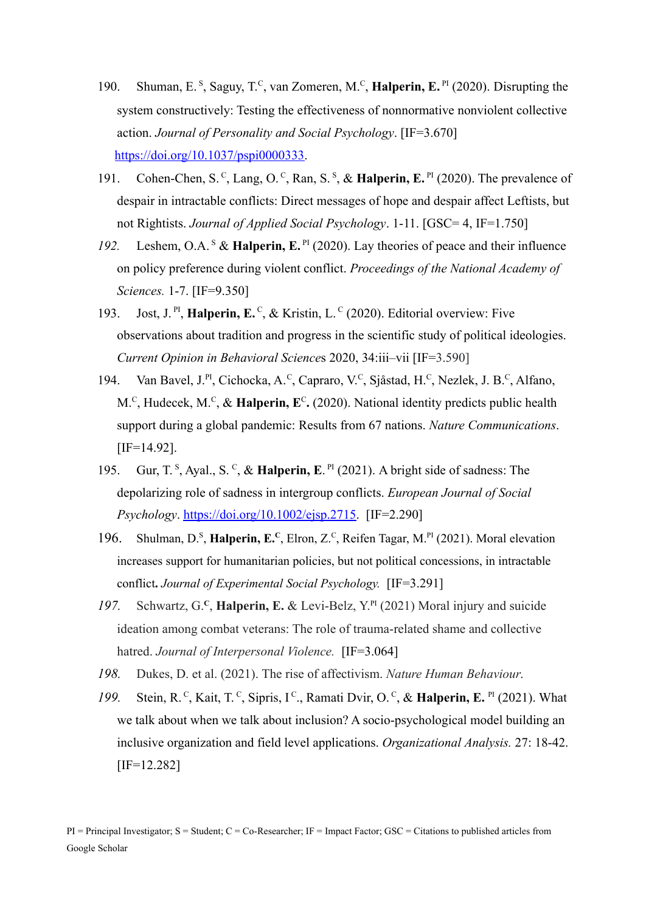- 190. Shuman, E.<sup>S</sup>, Saguy, T.<sup>C</sup>, van Zomeren, M.<sup>C</sup>, **Halperin, E.**<sup>PI</sup> (2020). Disrupting the system constructively: Testing the effectiveness of nonnormative nonviolent collective action. *Journal of Personality and Social Psychology*. [IF=3.670] [https://doi.org/10.1037/pspi0000333.](https://doi.org/10.1037/pspi0000333)
- 191. Cohen-Chen, S.<sup>C</sup>, Lang, O.<sup>C</sup>, Ran, S.<sup>S</sup>, & Halperin, E.<sup>PI</sup> (2020). The prevalence of despair in intractable conflicts: Direct messages of hope and despair affect Leftists, but not Rightists. *Journal of Applied Social Psychology*. 1-11. [GSC= 4, IF=1.750]
- 192. Leshem, O.A.<sup>s</sup> & Halperin, E.<sup>PI</sup> (2020). Lay theories of peace and their influence on policy preference during violent conflict. *Proceedings of the National Academy of Sciences.* 1-7. [IF=9.350]
- 193. Jost, J.<sup>PI</sup>, **Halperin, E.**<sup>C</sup>, & Kristin, L.<sup>C</sup> (2020). Editorial overview: Five observations about tradition and progress in the scientific study of political ideologies. *Current Opinion in Behavioral Science*s 2020, 34:iii–vii [IF=3.590]
- 194. Van Bavel, J.<sup>PI</sup>, Cichocka, A.<sup>c</sup>, Capraro, V.<sup>c</sup>, Sjåstad, H.<sup>c</sup>, Nezlek, J. B.<sup>c</sup>, Alfano, M.<sup>C</sup>, Hudecek, M.<sup>C</sup>, & **Halperin, E<sup>C</sup>.** (2020). National identity predicts public health support during a global pandemic: Results from 67 nations. *Nature Communications*. [IF=14.92].
- 195. Gur, T.<sup>s</sup>, Ayal., S.<sup>c</sup>, & **Halperin, E**.<sup>PI</sup> (2021). A bright side of sadness: The depolarizing role of sadness in intergroup conflicts. *European Journal of Social Psychology*. [https://doi.org/10.1002/ejsp.2715.](https://doi.org/10.1002/ejsp.2715) [IF=2.290]
- 196. Shulman, D.<sup>S</sup>, Halperin, E.<sup>C</sup>, Elron, Z.<sup>C</sup>, Reifen Tagar, M.<sup>PI</sup> (2021). Moral elevation increases support for humanitarian policies, but not political concessions, in intractable conflict**.** *Journal of Experimental Social Psychology.* [IF=3.291]
- *197.* Schwartz, G.**<sup>C</sup>** , **Halperin, E.** & Levi-Belz, Y. PI (2021) Moral injury and suicide ideation among combat veterans: The role of trauma-related shame and collective hatred. *Journal of Interpersonal Violence.* [IF=3.064]
- *198.* Dukes, D. et al. (2021). The rise of affectivism. *Nature Human Behaviour.*
- 199. Stein, R.<sup>C</sup>, Kait, T.<sup>C</sup>, Sipris, I<sup>c</sup>., Ramati Dvir, O.<sup>C</sup>, & Halperin, E. <sup>PI</sup> (2021). What we talk about when we talk about inclusion? A socio-psychological model building an inclusive organization and field level applications. *Organizational Analysis.* 27: 18-42. [IF=12.282]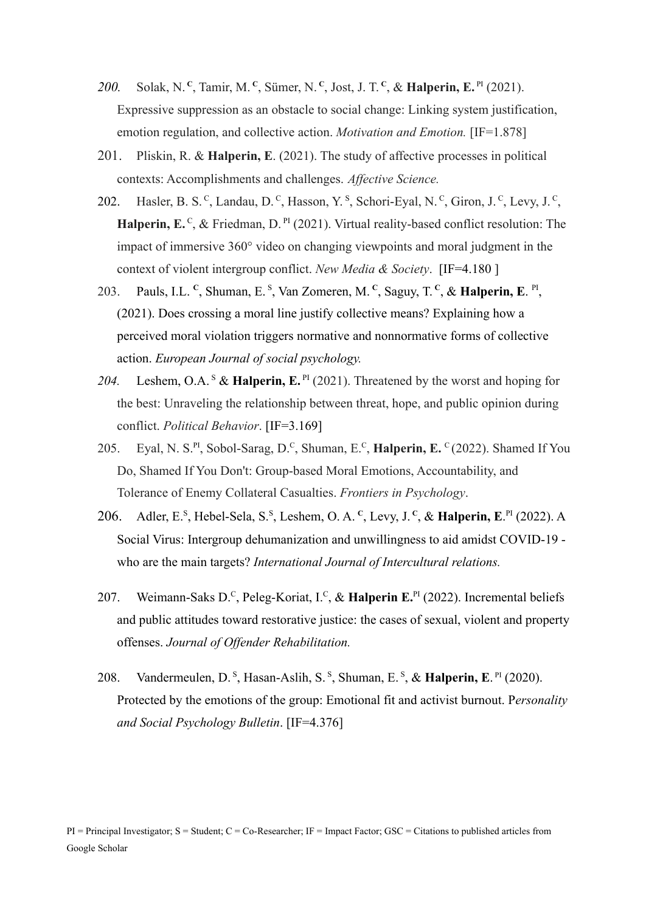- 200. Solak, N.<sup>c</sup>, Tamir, M.<sup>c</sup>, Sümer, N.<sup>c</sup>, Jost, J. T.<sup>c</sup>, & **Halperin, E.**<sup>PI</sup> (2021). Expressive suppression as an obstacle to social change: Linking system justification, emotion regulation, and collective action. *Motivation and Emotion.* [IF=1.878]
- 201. Pliskin, R. & **Halperin, E**. (2021). The study of affective processes in political contexts: Accomplishments and challenges. *Affective Science.*
- 202. Hasler, B. S.<sup>c</sup>, Landau, D.<sup>c</sup>, Hasson, Y.<sup>s</sup>, Schori-Eyal, N.<sup>c</sup>, Giron, J.<sup>c</sup>, Levy, J.<sup>c</sup>, Halperin, E.<sup>C</sup>, & Friedman, D.<sup>PI</sup> (2021). Virtual reality-based conflict resolution: The impact of immersive 360° video on changing viewpoints and moral judgment in the context of violent intergroup conflict. *New Media & Society*. [IF=4.180 ]
- 203. Pauls, I.L. <sup>c</sup>, Shuman, E. <sup>s</sup>, Van Zomeren, M. <sup>c</sup>, Saguy, T. <sup>c</sup>, & **Halperin, E**. <sup>PI</sup>, (2021). Does crossing a moral line justify collective means? Explaining how a perceived moral violation triggers normative and nonnormative forms of collective action. *European Journal of social psychology.*
- 204. Leshem, O.A.<sup>S</sup> & Halperin, E.<sup>PI</sup> (2021). Threatened by the worst and hoping for the best: Unraveling the relationship between threat, hope, and public opinion during conflict. *Political Behavior*. [IF=3.169]
- 205. Eyal, N. S.PI , Sobol-Sarag, D.<sup>C</sup> , Shuman, E.<sup>C</sup> , **Halperin, E.** <sup>C</sup> (2022). Shamed If You Do, Shamed If You Don't: Group-based Moral Emotions, Accountability, and Tolerance of Enemy Collateral Casualties. *Frontiers in Psychology*.
- 206. Adler, E.<sup>s</sup>, Hebel-Sela, S.<sup>s</sup>, Leshem, O. A.<sup>c</sup>, Levy, J.<sup>c</sup>, & **Halperin, E.**<sup>PI</sup> (2022). A Social Virus: Intergroup dehumanization and unwillingness to aid amidst COVID-19 who are the main targets? *International Journal of Intercultural relations.*
- 207. Weimann-Saks D.<sup>C</sup>, Peleg-Koriat, I.<sup>C</sup>, & Halperin E.<sup>PI</sup> (2022). Incremental beliefs and public attitudes toward restorative justice: the cases of sexual, violent and property offenses. *Journal of Offender Rehabilitation.*
- 208. Vandermeulen, D.<sup>S</sup>, Hasan-Aslih, S.<sup>S</sup>, Shuman, E.<sup>S</sup>, & **Halperin, E.**<sup>PI</sup> (2020). Protected by the emotions of the group: Emotional fit and activist burnout. P*ersonality and Social Psychology Bulletin*. [IF=4.376]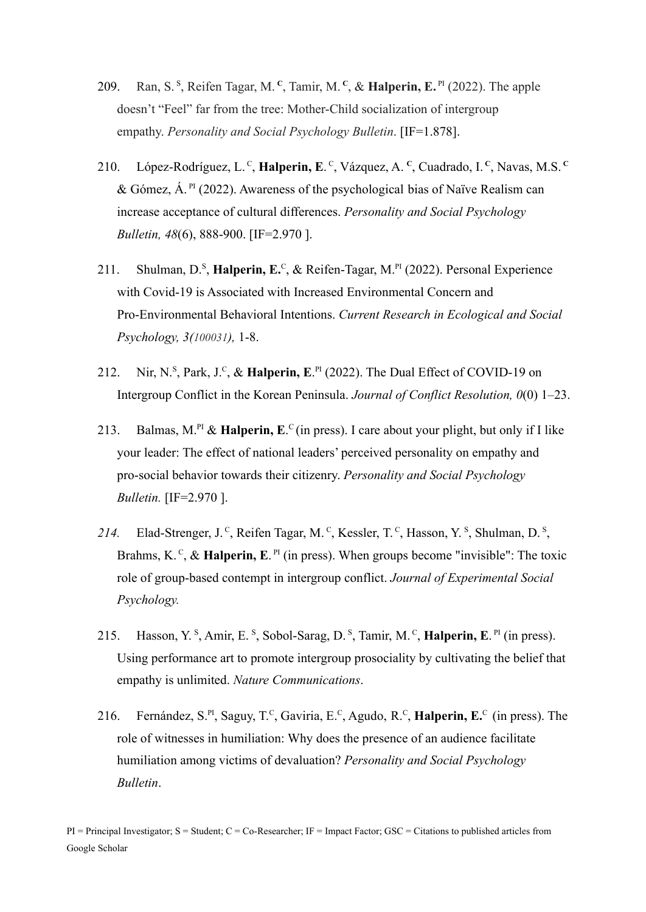- 209. Ran, S. <sup>S</sup> , Reifen Tagar, M. **<sup>C</sup>** , Tamir, M. **<sup>C</sup>** , & **Halperin, E.** PI (2022). The apple doesn't "Feel" far from the tree: Mother-Child socialization of intergroup empathy. *Personality and Social Psychology Bulletin*. [IF=1.878].
- 210. López-Rodríguez, L.<sup>c</sup>, **Halperin, E**.<sup>c</sup>, Vázquez, A.<sup>c</sup>, Cuadrado, I.<sup>c</sup>, Navas, M.S.<sup>c</sup> & Gómez,  $\hat{A}$ . <sup>PI</sup> (2022). Awareness of the psychological bias of Naïve Realism can increase acceptance of cultural differences. *Personality and Social Psychology Bulletin, 48*(6), 888-900. [IF=2.970 ].
- 211. Shulman, D.<sup>S</sup>, Halperin, E.<sup>C</sup>, & Reifen-Tagar, M.<sup>PI</sup> (2022). Personal Experience with Covid-19 is Associated with Increased Environmental Concern and Pro-Environmental Behavioral Intentions. *Current Research in Ecological and Social Psychology, 3(100031),* 1-8.
- 212. Nir, N.<sup>s</sup>, Park, J.<sup>c</sup>, & **Halperin, E.**<sup>PI</sup> (2022). The Dual Effect of COVID-19 on Intergroup Conflict in the Korean Peninsula. *Journal of Conflict Resolution, 0*(0) 1–23.
- 213. Balmas, M.<sup>PI</sup> & Halperin, E.<sup>C</sup> (in press). I care about your plight, but only if I like your leader: The effect of national leaders' perceived personality on empathy and pro-social behavior towards their citizenry. *Personality and Social Psychology Bulletin.* [IF=2.970 ].
- 214. Elad-Strenger, J.<sup>C</sup>, Reifen Tagar, M.<sup>C</sup>, Kessler, T.<sup>C</sup>, Hasson, Y.<sup>S</sup>, Shulman, D.<sup>S</sup>, Brahms, K.<sup>c</sup>, & Halperin, E.<sup>PI</sup> (in press). When groups become "invisible": The toxic role of group-based contempt in intergroup conflict. *Journal of Experimental Social Psychology.*
- 215. Hasson, Y.<sup>s</sup>, Amir, E.<sup>s</sup>, Sobol-Sarag, D.<sup>s</sup>, Tamir, M.<sup>c</sup>, **Halperin, E.**<sup>PI</sup> (in press). Using performance art to promote intergroup prosociality by cultivating the belief that empathy is unlimited. *Nature Communications*.
- 216. Fernández, S.<sup>PI</sup>, Saguy, T.<sup>C</sup>, Gaviria, E.<sup>C</sup>, Agudo, R.<sup>C</sup>, **Halperin, E.**C (in press). The role of witnesses in humiliation: Why does the presence of an audience facilitate humiliation among victims of devaluation? *Personality and Social Psychology Bulletin*.